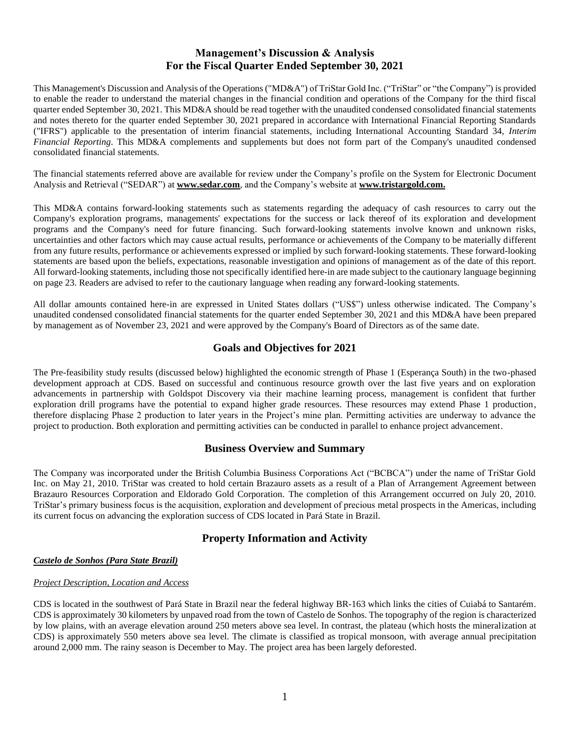# **Management's Discussion & Analysis For the Fiscal Quarter Ended September 30, 2021**

This Management's Discussion and Analysis of the Operations ("MD&A") of TriStar Gold Inc. ("TriStar" or "the Company") is provided to enable the reader to understand the material changes in the financial condition and operations of the Company for the third fiscal quarter ended September 30, 2021. This MD&A should be read together with the unaudited condensed consolidated financial statements and notes thereto for the quarter ended September 30, 2021 prepared in accordance with International Financial Reporting Standards ("IFRS") applicable to the presentation of interim financial statements, including International Accounting Standard 34, *Interim Financial Reporting*. This MD&A complements and supplements but does not form part of the Company's unaudited condensed consolidated financial statements.

The financial statements referred above are available for review under the Company's profile on the System for Electronic Document Analysis and Retrieval ("SEDAR") at **[www.sedar.com](http://www.sedar.com/)**, and the Company's website at **www.tristargold.com.**

This MD&A contains forward-looking statements such as statements regarding the adequacy of cash resources to carry out the Company's exploration programs, managements' expectations for the success or lack thereof of its exploration and development programs and the Company's need for future financing. Such forward-looking statements involve known and unknown risks, uncertainties and other factors which may cause actual results, performance or achievements of the Company to be materially different from any future results, performance or achievements expressed or implied by such forward-looking statements. These forward-looking statements are based upon the beliefs, expectations, reasonable investigation and opinions of management as of the date of this report. All forward-looking statements, including those not specifically identified here-in are made subject to the cautionary language beginning on page 23. Readers are advised to refer to the cautionary language when reading any forward-looking statements.

All dollar amounts contained here-in are expressed in United States dollars ("US\$") unless otherwise indicated. The Company's unaudited condensed consolidated financial statements for the quarter ended September 30, 2021 and this MD&A have been prepared by management as of November 23, 2021 and were approved by the Company's Board of Directors as of the same date.

# **Goals and Objectives for 2021**

The Pre-feasibility study results (discussed below) highlighted the economic strength of Phase 1 (Esperança South) in the two-phased development approach at CDS. Based on successful and continuous resource growth over the last five years and on exploration advancements in partnership with Goldspot Discovery via their machine learning process, management is confident that further exploration drill programs have the potential to expand higher grade resources. These resources may extend Phase 1 production, therefore displacing Phase 2 production to later years in the Project's mine plan. Permitting activities are underway to advance the project to production. Both exploration and permitting activities can be conducted in parallel to enhance project advancement.

## **Business Overview and Summary**

The Company was incorporated under the British Columbia Business Corporations Act ("BCBCA") under the name of TriStar Gold Inc. on May 21, 2010. TriStar was created to hold certain Brazauro assets as a result of a Plan of Arrangement Agreement between Brazauro Resources Corporation and Eldorado Gold Corporation. The completion of this Arrangement occurred on July 20, 2010. TriStar's primary business focus is the acquisition, exploration and development of precious metal prospects in the Americas, including its current focus on advancing the exploration success of CDS located in Pará State in Brazil.

# **Property Information and Activity**

## *Castelo de Sonhos (Para State Brazil)*

## *Project Description, Location and Access*

CDS is located in the southwest of Pará State in Brazil near the federal highway BR-163 which links the cities of Cuiabá to Santarém. CDS is approximately 30 kilometers by unpaved road from the town of Castelo de Sonhos. The topography of the region is characterized by low plains, with an average elevation around 250 meters above sea level. In contrast, the plateau (which hosts the mineralization at CDS) is approximately 550 meters above sea level. The climate is classified as tropical monsoon, with average annual precipitation around 2,000 mm. The rainy season is December to May. The project area has been largely deforested.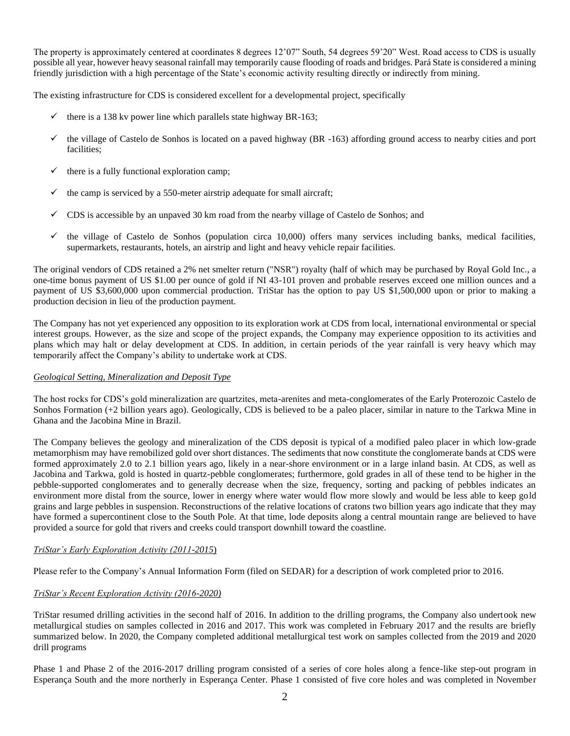The property is approximately centered at coordinates 8 degrees 12'07" South, 54 degrees 59'20" West. Road access to CDS is usually possible all year, however heavy seasonal rainfall may temporarily cause flooding of roads and bridges. Pará State is considered a mining friendly jurisdiction with a high percentage of the State's economic activity resulting directly or indirectly from mining.

The existing infrastructure for CDS is considered excellent for a developmental project, specifically

- $\checkmark$  there is a 138 kv power line which parallels state highway BR-163;
- $\checkmark$  the village of Castelo de Sonhos is located on a paved highway (BR -163) affording ground access to nearby cities and port facilities;
- $\checkmark$  there is a fully functional exploration camp;
- the camp is serviced by a 550-meter airstrip adequate for small aircraft;
- $\checkmark$  CDS is accessible by an unpaved 30 km road from the nearby village of Castelo de Sonhos; and
- $\checkmark$  the village of Castelo de Sonhos (population circa 10,000) offers many services including banks, medical facilities, supermarkets, restaurants, hotels, an airstrip and light and heavy vehicle repair facilities.

The original vendors of CDS retained a 2% net smelter return ("NSR") royalty (half of which may be purchased by Royal Gold Inc., a one-time bonus payment of US \$1.00 per ounce of gold if NI 43-101 proven and probable reserves exceed one million ounces and a payment of US \$3,600,000 upon commercial production. TriStar has the option to pay US \$1,500,000 upon or prior to making a production decision in lieu of the production payment.

The Company has not yet experienced any opposition to its exploration work at CDS from local, international environmental or special interest groups. However, as the size and scope of the project expands, the Company may experience opposition to its activities and plans which may halt or delay development at CDS. In addition, in certain periods of the year rainfall is very heavy which may temporarily affect the Company's ability to undertake work at CDS.

## *Geological Setting, Mineralization and Deposit Type*

The host rocks for CDS's gold mineralization are quartzites, meta-arenites and meta-conglomerates of the Early Proterozoic Castelo de Sonhos Formation (+2 billion years ago). Geologically, CDS is believed to be a paleo placer, similar in nature to the Tarkwa Mine in Ghana and the Jacobina Mine in Brazil.

The Company believes the geology and mineralization of the CDS deposit is typical of a modified paleo placer in which low-grade metamorphism may have remobilized gold over short distances. The sediments that now constitute the conglomerate bands at CDS were formed approximately 2.0 to 2.1 billion years ago, likely in a near-shore environment or in a large inland basin. At CDS, as well as Jacobina and Tarkwa, gold is hosted in quartz-pebble conglomerates; furthermore, gold grades in all of these tend to be higher in the pebble-supported conglomerates and to generally decrease when the size, frequency, sorting and packing of pebbles indicates an environment more distal from the source, lower in energy where water would flow more slowly and would be less able to keep gold grains and large pebbles in suspension. Reconstructions of the relative locations of cratons two billion years ago indicate that they may have formed a supercontinent close to the South Pole. At that time, lode deposits along a central mountain range are believed to have provided a source for gold that rivers and creeks could transport downhill toward the coastline.

## *TriStar's Early Exploration Activity (2011-2015*)

Please refer to the Company's Annual Information Form (filed on SEDAR) for a description of work completed prior to 2016.

## *TriStar's Recent Exploration Activity (2016-2020)*

TriStar resumed drilling activities in the second half of 2016. In addition to the drilling programs, the Company also undertook new metallurgical studies on samples collected in 2016 and 2017. This work was completed in February 2017 and the results are briefly summarized below. In 2020, the Company completed additional metallurgical test work on samples collected from the 2019 and 2020 drill programs

Phase 1 and Phase 2 of the 2016-2017 drilling program consisted of a series of core holes along a fence-like step-out program in Esperança South and the more northerly in Esperança Center. Phase 1 consisted of five core holes and was completed in November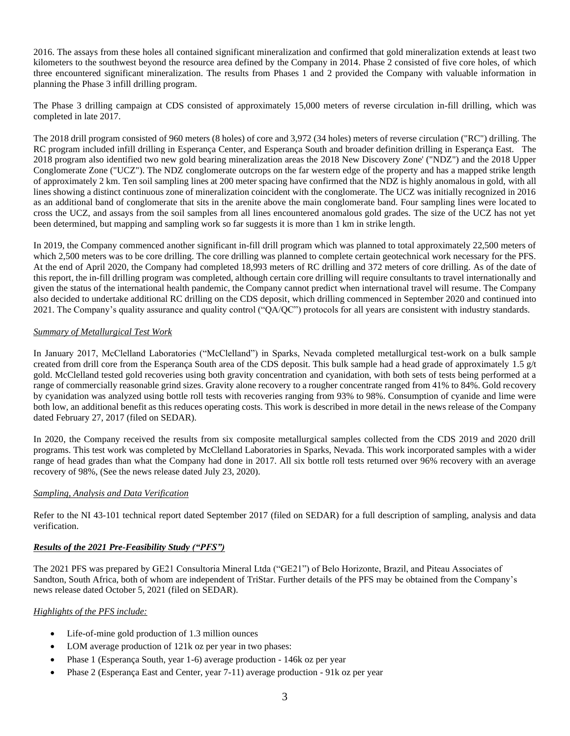2016. The assays from these holes all contained significant mineralization and confirmed that gold mineralization extends at least two kilometers to the southwest beyond the resource area defined by the Company in 2014. Phase 2 consisted of five core holes, of which three encountered significant mineralization. The results from Phases 1 and 2 provided the Company with valuable information in planning the Phase 3 infill drilling program.

The Phase 3 drilling campaign at CDS consisted of approximately 15,000 meters of reverse circulation in-fill drilling, which was completed in late 2017.

The 2018 drill program consisted of 960 meters (8 holes) of core and 3,972 (34 holes) meters of reverse circulation ("RC") drilling. The RC program included infill drilling in Esperança Center, and Esperança South and broader definition drilling in Esperança East. The 2018 program also identified two new gold bearing mineralization areas the 2018 New Discovery Zone' ("NDZ") and the 2018 Upper Conglomerate Zone ("UCZ"). The NDZ conglomerate outcrops on the far western edge of the property and has a mapped strike length of approximately 2 km. Ten soil sampling lines at 200 meter spacing have confirmed that the NDZ is highly anomalous in gold, with all lines showing a distinct continuous zone of mineralization coincident with the conglomerate. The UCZ was initially recognized in 2016 as an additional band of conglomerate that sits in the arenite above the main conglomerate band. Four sampling lines were located to cross the UCZ, and assays from the soil samples from all lines encountered anomalous gold grades. The size of the UCZ has not yet been determined, but mapping and sampling work so far suggests it is more than 1 km in strike length.

In 2019, the Company commenced another significant in-fill drill program which was planned to total approximately 22,500 meters of which 2,500 meters was to be core drilling. The core drilling was planned to complete certain geotechnical work necessary for the PFS. At the end of April 2020, the Company had completed 18,993 meters of RC drilling and 372 meters of core drilling. As of the date of this report, the in-fill drilling program was completed, although certain core drilling will require consultants to travel internationally and given the status of the international health pandemic, the Company cannot predict when international travel will resume. The Company also decided to undertake additional RC drilling on the CDS deposit, which drilling commenced in September 2020 and continued into 2021. The Company's quality assurance and quality control ("QA/QC") protocols for all years are consistent with industry standards.

## *Summary of Metallurgical Test Work*

In January 2017, McClelland Laboratories ("McClelland") in Sparks, Nevada completed metallurgical test-work on a bulk sample created from drill core from the Esperança South area of the CDS deposit. This bulk sample had a head grade of approximately 1.5  $g/t$ gold. McClelland tested gold recoveries using both gravity concentration and cyanidation, with both sets of tests being performed at a range of commercially reasonable grind sizes. Gravity alone recovery to a rougher concentrate ranged from 41% to 84%. Gold recovery by cyanidation was analyzed using bottle roll tests with recoveries ranging from 93% to 98%. Consumption of cyanide and lime were both low, an additional benefit as this reduces operating costs. This work is described in more detail in the news release of the Company dated February 27, 2017 (filed on SEDAR).

In 2020, the Company received the results from six composite metallurgical samples collected from the CDS 2019 and 2020 drill programs. This test work was completed by McClelland Laboratories in Sparks, Nevada. This work incorporated samples with a wider range of head grades than what the Company had done in 2017. All six bottle roll tests returned over 96% recovery with an average recovery of 98%, (See the news release dated July 23, 2020).

## *Sampling, Analysis and Data Verification*

Refer to the NI 43-101 technical report dated September 2017 (filed on SEDAR) for a full description of sampling, analysis and data verification.

## *Results of the 2021 Pre-Feasibility Study ("PFS")*

The 2021 PFS was prepared by GE21 Consultoria Mineral Ltda ("GE21") of Belo Horizonte, Brazil, and Piteau Associates of Sandton, South Africa, both of whom are independent of TriStar. Further details of the PFS may be obtained from the Company's news release dated October 5, 2021 (filed on SEDAR).

## *Highlights of the PFS include:*

- Life-of-mine gold production of 1.3 million ounces
- LOM average production of 121k oz per year in two phases:
- Phase 1 (Esperança South, year 1-6) average production 146k oz per year
- Phase 2 (Esperança East and Center, year 7-11) average production 91k oz per year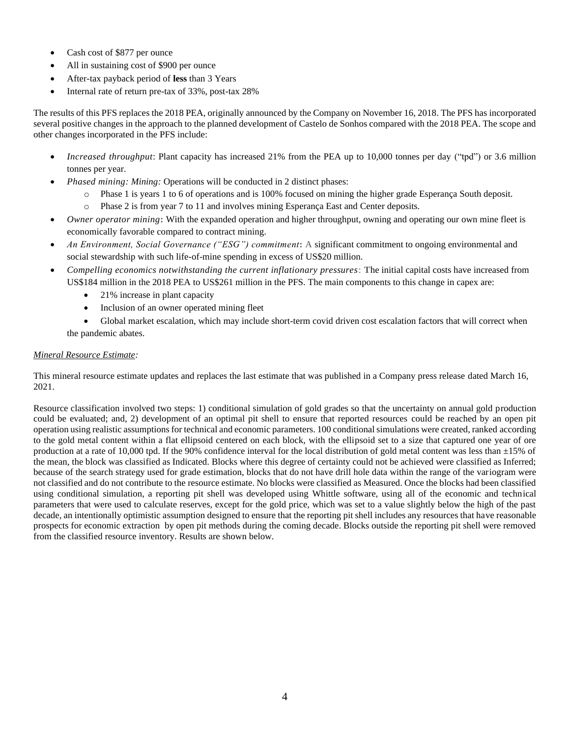- Cash cost of \$877 per ounce
- All in sustaining cost of \$900 per ounce
- After-tax payback period of **less** than 3 Years
- Internal rate of return pre-tax of 33%, post-tax 28%

The results of this PFS replaces the 2018 PEA, originally announced by the Company on November 16, 2018. The PFS has incorporated several positive changes in the approach to the planned development of Castelo de Sonhos compared with the 2018 PEA. The scope and other changes incorporated in the PFS include:

- *Increased throughput*: Plant capacity has increased 21% from the PEA up to 10,000 tonnes per day ("tpd") or 3.6 million tonnes per year.
- *Phased mining: Mining:* Operations will be conducted in 2 distinct phases:
	- o Phase 1 is years 1 to 6 of operations and is 100% focused on mining the higher grade Esperança South deposit.
	- o Phase 2 is from year 7 to 11 and involves mining Esperança East and Center deposits.
- *Owner operator mining***:** With the expanded operation and higher throughput, owning and operating our own mine fleet is economically favorable compared to contract mining.
- *An Environment, Social Governance ("ESG") commitment***:** A significant commitment to ongoing environmental and social stewardship with such life-of-mine spending in excess of US\$20 million.
- *Compelling economics notwithstanding the current inflationary pressures*: **T**he initial capital costs have increased from US\$184 million in the 2018 PEA to US\$261 million in the PFS. The main components to this change in capex are:
	- 21% increase in plant capacity
	- Inclusion of an owner operated mining fleet
	- Global market escalation, which may include short-term covid driven cost escalation factors that will correct when the pandemic abates.

## *Mineral Resource Estimate:*

This mineral resource estimate updates and replaces the last estimate that was published in a Company press release dated March 16, 2021.

Resource classification involved two steps: 1) conditional simulation of gold grades so that the uncertainty on annual gold production could be evaluated; and, 2) development of an optimal pit shell to ensure that reported resources could be reached by an open pit operation using realistic assumptions for technical and economic parameters. 100 conditional simulations were created, ranked according to the gold metal content within a flat ellipsoid centered on each block, with the ellipsoid set to a size that captured one year of ore production at a rate of 10,000 tpd. If the 90% confidence interval for the local distribution of gold metal content was less than  $\pm 15$ % of the mean, the block was classified as Indicated. Blocks where this degree of certainty could not be achieved were classified as Inferred; because of the search strategy used for grade estimation, blocks that do not have drill hole data within the range of the variogram were not classified and do not contribute to the resource estimate. No blocks were classified as Measured. Once the blocks had been classified using conditional simulation, a reporting pit shell was developed using Whittle software, using all of the economic and technical parameters that were used to calculate reserves, except for the gold price, which was set to a value slightly below the high of the past decade, an intentionally optimistic assumption designed to ensure that the reporting pit shell includes any resources that have reasonable prospects for economic extraction by open pit methods during the coming decade. Blocks outside the reporting pit shell were removed from the classified resource inventory. Results are shown below.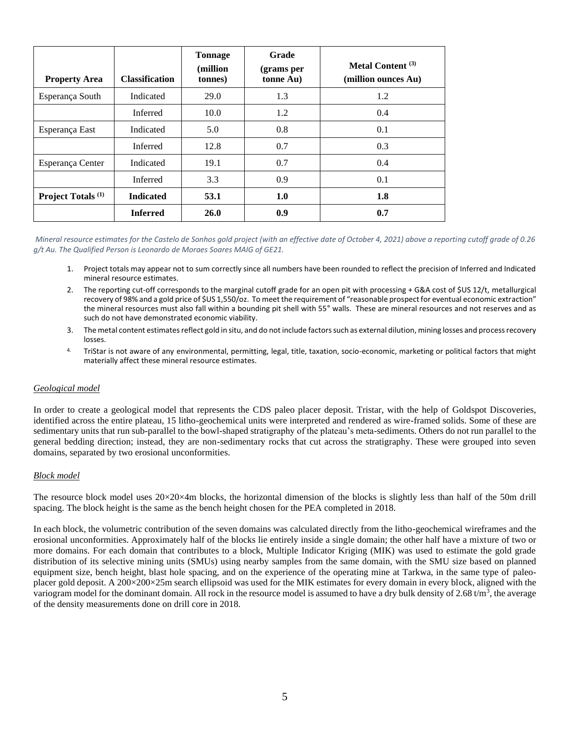| <b>Property Area</b>          | <b>Classification</b> | <b>Tonnage</b><br>(million)<br>tonnes) | Grade<br>(grams per<br>tonne Au) | Metal Content <sup>(3)</sup><br>(million ounces Au) |
|-------------------------------|-----------------------|----------------------------------------|----------------------------------|-----------------------------------------------------|
| Esperança South               | Indicated             | <b>29.0</b>                            | 1.3                              | 1.2                                                 |
|                               | Inferred              | 10.0                                   | 1.2                              | 0.4                                                 |
| Esperança East                | Indicated             | 5.0                                    | 0.8                              | 0.1                                                 |
|                               | Inferred              | 12.8                                   | 0.7                              | 0.3                                                 |
| Esperança Center              | Indicated             | 19.1                                   | 0.7                              | 0.4                                                 |
|                               | Inferred              | 3.3                                    | 0.9                              | 0.1                                                 |
| Project Totals <sup>(1)</sup> | <b>Indicated</b>      | 53.1                                   | 1.0                              | 1.8                                                 |
|                               | <b>Inferred</b>       | 26.0                                   | 0.9                              | 0.7                                                 |

*Mineral resource estimates for the Castelo de Sonhos gold project (with an effective date of October 4, 2021) above a reporting cutoff grade of 0.26 g/t Au. The Qualified Person is Leonardo de Moraes Soares MAIG of GE21.*

- 1. Project totals may appear not to sum correctly since all numbers have been rounded to reflect the precision of Inferred and Indicated mineral resource estimates.
- 2. The reporting cut-off corresponds to the marginal cutoff grade for an open pit with processing + G&A cost of \$US 12/t, metallurgical recovery of 98% and a gold price of \$US 1,550/oz. To meet the requirement of "reasonable prospect for eventual economic extraction" the mineral resources must also fall within a bounding pit shell with 55° walls. These are mineral resources and not reserves and as such do not have demonstrated economic viability.
- 3. The metal content estimates reflect gold in situ, and do not include factors such as external dilution, mining losses and process recovery losses.
- 4. TriStar is not aware of any environmental, permitting, legal, title, taxation, socio-economic, marketing or political factors that might materially affect these mineral resource estimates.

## *Geological model*

In order to create a geological model that represents the CDS paleo placer deposit. Tristar, with the help of Goldspot Discoveries, identified across the entire plateau, 15 litho-geochemical units were interpreted and rendered as wire-framed solids. Some of these are sedimentary units that run sub-parallel to the bowl-shaped stratigraphy of the plateau's meta-sediments. Others do not run parallel to the general bedding direction; instead, they are non-sedimentary rocks that cut across the stratigraphy. These were grouped into seven domains, separated by two erosional unconformities.

### *Block model*

The resource block model uses  $20 \times 20 \times 4$ m blocks, the horizontal dimension of the blocks is slightly less than half of the 50m drill spacing. The block height is the same as the bench height chosen for the PEA completed in 2018.

In each block, the volumetric contribution of the seven domains was calculated directly from the litho-geochemical wireframes and the erosional unconformities. Approximately half of the blocks lie entirely inside a single domain; the other half have a mixture of two or more domains. For each domain that contributes to a block, Multiple Indicator Kriging (MIK) was used to estimate the gold grade distribution of its selective mining units (SMUs) using nearby samples from the same domain, with the SMU size based on planned equipment size, bench height, blast hole spacing, and on the experience of the operating mine at Tarkwa, in the same type of paleoplacer gold deposit. A 200×200×25m search ellipsoid was used for the MIK estimates for every domain in every block, aligned with the variogram model for the dominant domain. All rock in the resource model is assumed to have a dry bulk density of 2.68 t/m<sup>3</sup>, the average of the density measurements done on drill core in 2018.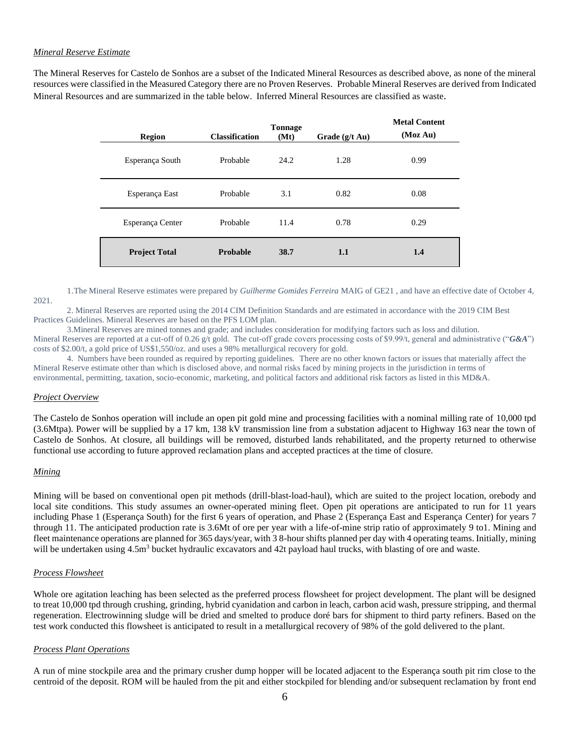### *Mineral Reserve Estimate*

The Mineral Reserves for Castelo de Sonhos are a subset of the Indicated Mineral Resources as described above, as none of the mineral resources were classified in the Measured Category there are no Proven Reserves. Probable Mineral Reserves are derived from Indicated Mineral Resources and are summarized in the table below. Inferred Mineral Resources are classified as waste.

| <b>Region</b>        | <b>Classification</b> | <b>Tonnage</b><br>(Mt) | Grade $(g/t \text{ Au})$ | <b>Metal Content</b><br>(Moz Au) |
|----------------------|-----------------------|------------------------|--------------------------|----------------------------------|
| Esperança South      | Probable              | 24.2                   | 1.28                     | 0.99                             |
| Esperança East       | Probable              | 3.1                    | 0.82                     | 0.08                             |
| Esperança Center     | Probable              | 11.4                   | 0.78                     | 0.29                             |
| <b>Project Total</b> | Probable              | 38.7                   | 1.1                      | 1.4                              |

1.The Mineral Reserve estimates were prepared by *Guilherme Gomides Ferreira* MAIG of GE21 , and have an effective date of October 4, 2021.

2. Mineral Reserves are reported using the 2014 CIM Definition Standards and are estimated in accordance with the 2019 CIM Best Practices Guidelines. Mineral Reserves are based on the PFS LOM plan.

3.Mineral Reserves are mined tonnes and grade; and includes consideration for modifying factors such as loss and dilution. Mineral Reserves are reported at a cut-off of 0.26 g/t gold. The cut-off grade covers processing costs of \$9.99/t, general and administrative ("*G&A*") costs of \$2.00/t, a gold price of US\$1,550/oz. and uses a 98% metallurgical recovery for gold.

4. Numbers have been rounded as required by reporting guidelines*.* There are no other known factors or issues that materially affect the Mineral Reserve estimate other than which is disclosed above, and normal risks faced by mining projects in the jurisdiction in terms of environmental, permitting, taxation, socio-economic, marketing, and political factors and additional risk factors as listed in this MD&A.

## *Project Overview*

The Castelo de Sonhos operation will include an open pit gold mine and processing facilities with a nominal milling rate of 10,000 tpd (3.6Mtpa). Power will be supplied by a 17 km, 138 kV transmission line from a substation adjacent to Highway 163 near the town of Castelo de Sonhos. At closure, all buildings will be removed, disturbed lands rehabilitated, and the property returned to otherwise functional use according to future approved reclamation plans and accepted practices at the time of closure.

### *Mining*

Mining will be based on conventional open pit methods (drill-blast-load-haul), which are suited to the project location, orebody and local site conditions. This study assumes an owner-operated mining fleet. Open pit operations are anticipated to run for 11 years including Phase 1 (Esperança South) for the first 6 years of operation, and Phase 2 (Esperança East and Esperança Center) for years 7 through 11. The anticipated production rate is 3.6Mt of ore per year with a life-of-mine strip ratio of approximately 9 to1. Mining and fleet maintenance operations are planned for 365 days/year, with 3 8-hour shifts planned per day with 4 operating teams. Initially, mining will be undertaken using  $4.5m<sup>3</sup>$  bucket hydraulic excavators and  $42t$  payload haul trucks, with blasting of ore and waste.

### *Process Flowsheet*

Whole ore agitation leaching has been selected as the preferred process flowsheet for project development. The plant will be designed to treat 10,000 tpd through crushing, grinding, hybrid cyanidation and carbon in leach, carbon acid wash, pressure stripping, and thermal regeneration. Electrowinning sludge will be dried and smelted to produce doré bars for shipment to third party refiners. Based on the test work conducted this flowsheet is anticipated to result in a metallurgical recovery of 98% of the gold delivered to the plant.

### *Process Plant Operations*

A run of mine stockpile area and the primary crusher dump hopper will be located adjacent to the Esperança south pit rim close to the centroid of the deposit. ROM will be hauled from the pit and either stockpiled for blending and/or subsequent reclamation by front end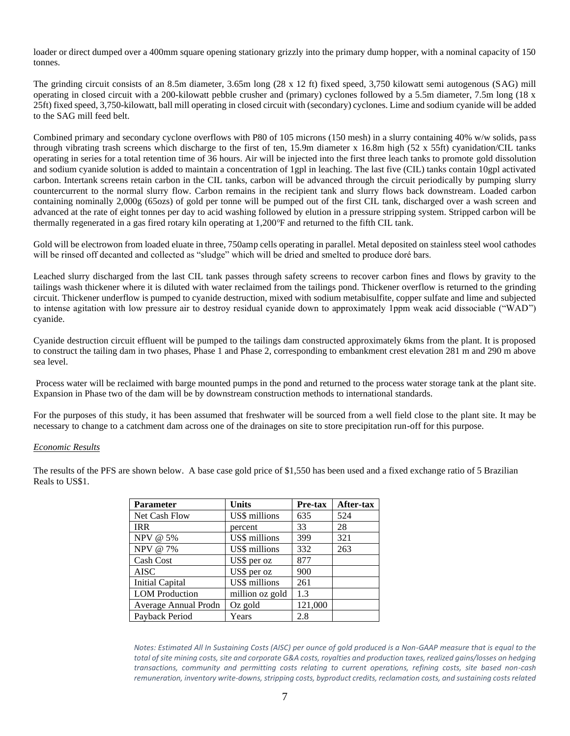loader or direct dumped over a 400mm square opening stationary grizzly into the primary dump hopper, with a nominal capacity of 150 tonnes.

The grinding circuit consists of an 8.5m diameter, 3.65m long (28 x 12 ft) fixed speed, 3,750 kilowatt semi autogenous (SAG) mill operating in closed circuit with a 200-kilowatt pebble crusher and (primary) cyclones followed by a 5.5m diameter, 7.5m long (18 x 25ft) fixed speed, 3,750-kilowatt, ball mill operating in closed circuit with (secondary) cyclones. Lime and sodium cyanide will be added to the SAG mill feed belt.

Combined primary and secondary cyclone overflows with P80 of 105 microns (150 mesh) in a slurry containing 40% w/w solids, pass through vibrating trash screens which discharge to the first of ten, 15.9m diameter x 16.8m high (52 x 55ft) cyanidation/CIL tanks operating in series for a total retention time of 36 hours. Air will be injected into the first three leach tanks to promote gold dissolution and sodium cyanide solution is added to maintain a concentration of 1gpl in leaching. The last five (CIL) tanks contain 10gpl activated carbon. Intertank screens retain carbon in the CIL tanks, carbon will be advanced through the circuit periodically by pumping slurry countercurrent to the normal slurry flow. Carbon remains in the recipient tank and slurry flows back downstream. Loaded carbon containing nominally 2,000g (65ozs) of gold per tonne will be pumped out of the first CIL tank, discharged over a wash screen and advanced at the rate of eight tonnes per day to acid washing followed by elution in a pressure stripping system. Stripped carbon will be thermally regenerated in a gas fired rotary kiln operating at 1,200°F and returned to the fifth CIL tank.

Gold will be electrowon from loaded eluate in three, 750amp cells operating in parallel. Metal deposited on stainless steel wool cathodes will be rinsed off decanted and collected as "sludge" which will be dried and smelted to produce doré bars.

Leached slurry discharged from the last CIL tank passes through safety screens to recover carbon fines and flows by gravity to the tailings wash thickener where it is diluted with water reclaimed from the tailings pond. Thickener overflow is returned to the grinding circuit. Thickener underflow is pumped to cyanide destruction, mixed with sodium metabisulfite, copper sulfate and lime and subjected to intense agitation with low pressure air to destroy residual cyanide down to approximately 1ppm weak acid dissociable ("WAD") cyanide.

Cyanide destruction circuit effluent will be pumped to the tailings dam constructed approximately 6kms from the plant. It is proposed to construct the tailing dam in two phases, Phase 1 and Phase 2, corresponding to embankment crest elevation 281 m and 290 m above sea level.

Process water will be reclaimed with barge mounted pumps in the pond and returned to the process water storage tank at the plant site. Expansion in Phase two of the dam will be by downstream construction methods to international standards.

For the purposes of this study, it has been assumed that freshwater will be sourced from a well field close to the plant site. It may be necessary to change to a catchment dam across one of the drainages on site to store precipitation run-off for this purpose.

## *Economic Results*

The results of the PFS are shown below. A base case gold price of \$1,550 has been used and a fixed exchange ratio of 5 Brazilian Reals to US\$1.

| <b>Parameter</b>       | <b>Units</b>    | Pre-tax | After-tax |
|------------------------|-----------------|---------|-----------|
| Net Cash Flow          | US\$ millions   | 635     | 524       |
| <b>IRR</b>             | percent         | 33      | 28        |
| NPV @ 5%               | US\$ millions   | 399     | 321       |
| NPV @ 7%               | US\$ millions   | 332     | 263       |
| Cash Cost              | US\$ per oz     | 877     |           |
| <b>AISC</b>            | US\$ per oz     | 900     |           |
| <b>Initial Capital</b> | US\$ millions   | 261     |           |
| <b>LOM</b> Production  | million oz gold | 1.3     |           |
| Average Annual Prodn   | Oz gold         | 121,000 |           |
| Payback Period         | Years           | 2.8     |           |

*Notes: Estimated All In Sustaining Costs (AISC) per ounce of gold produced is a Non-GAAP measure that is equal to the total of site mining costs, site and corporate G&A costs, royalties and production taxes, realized gains/losses on hedging transactions, community and permitting costs relating to current operations, refining costs, site based non-cash remuneration, inventory write-downs, stripping costs, byproduct credits, reclamation costs, and sustaining costs related*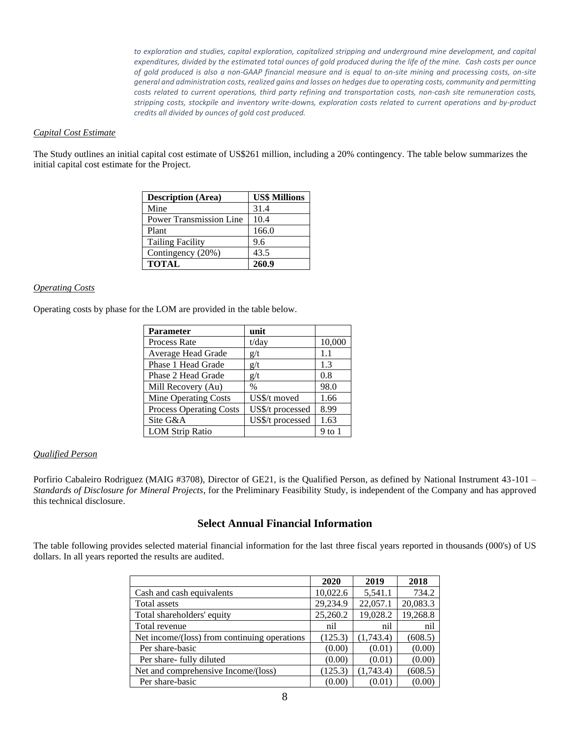to exploration and studies, capital exploration, capitalized stripping and underground mine development, and capital *expenditures, divided by the estimated total ounces of gold produced during the life of the mine. Cash costs per ounce of gold produced is also a non-GAAP financial measure and is equal to on-site mining and processing costs, on-site general and administration costs, realized gains and losses on hedges due to operating costs, community and permitting costs related to current operations, third party refining and transportation costs, non-cash site remuneration costs, stripping costs, stockpile and inventory write-downs, exploration costs related to current operations and by-product credits all divided by ounces of gold cost produced.* 

## *Capital Cost Estimate*

The Study outlines an initial capital cost estimate of US\$261 million, including a 20% contingency. The table below summarizes the initial capital cost estimate for the Project.

| <b>Description (Area)</b>      | <b>US\$ Millions</b> |
|--------------------------------|----------------------|
| Mine                           | 31.4                 |
| <b>Power Transmission Line</b> | 10.4                 |
| Plant                          | 166.0                |
| <b>Tailing Facility</b>        | 9.6                  |
| Contingency (20%)              | 43.5                 |
| <b>TOTAL</b>                   | 260.9                |

### *Operating Costs*

Operating costs by phase for the LOM are provided in the table below.

| <b>Parameter</b>               | unit             |        |
|--------------------------------|------------------|--------|
| <b>Process Rate</b>            | $t$ /day         | 10,000 |
| Average Head Grade             | g/t              | 1.1    |
| Phase 1 Head Grade             | g/t              | 1.3    |
| Phase 2 Head Grade             | g/t              | 0.8    |
| Mill Recovery (Au)             | $\%$             | 98.0   |
| <b>Mine Operating Costs</b>    | US\$/t moved     | 1.66   |
| <b>Process Operating Costs</b> | US\$/t processed | 8.99   |
| Site G&A                       | US\$/t processed | 1.63   |
| <b>LOM Strip Ratio</b>         |                  | 9 to 1 |

## *Qualified Person*

Porfirio Cabaleiro Rodriguez (MAIG #3708), Director of GE21, is the Qualified Person, as defined by National Instrument 43-101 – *Standards of Disclosure for Mineral Projects*, for the Preliminary Feasibility Study, is independent of the Company and has approved this technical disclosure.

## **Select Annual Financial Information**

The table following provides selected material financial information for the last three fiscal years reported in thousands (000's) of US dollars. In all years reported the results are audited.

|                                              | 2020     | 2019      | 2018     |
|----------------------------------------------|----------|-----------|----------|
| Cash and cash equivalents                    | 10,022.6 | 5,541.1   | 734.2    |
| Total assets                                 | 29,234.9 | 22,057.1  | 20,083.3 |
| Total shareholders' equity                   | 25,260.2 | 19,028.2  | 19,268.8 |
| Total revenue                                | nil      | nil       | nil      |
| Net income/(loss) from continuing operations | (125.3)  | (1,743.4) | (608.5)  |
| Per share-basic                              | (0.00)   | (0.01)    | (0.00)   |
| Per share- fully diluted                     | (0.00)   | (0.01)    | (0.00)   |
| Net and comprehensive Income/(loss)          | (125.3)  | (1,743.4) | (608.5)  |
| Per share-basic                              | (0.00)   | (0.01)    | (0.00)   |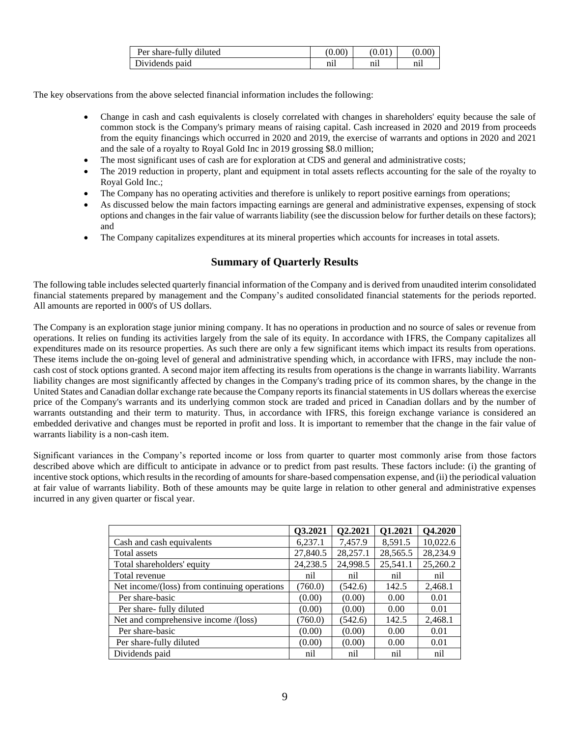| Per share-fully diluted |     |          |    |
|-------------------------|-----|----------|----|
| Dividends paid          | nıl | $n_{11}$ | n1 |

The key observations from the above selected financial information includes the following:

- Change in cash and cash equivalents is closely correlated with changes in shareholders' equity because the sale of common stock is the Company's primary means of raising capital. Cash increased in 2020 and 2019 from proceeds from the equity financings which occurred in 2020 and 2019, the exercise of warrants and options in 2020 and 2021 and the sale of a royalty to Royal Gold Inc in 2019 grossing \$8.0 million;
- The most significant uses of cash are for exploration at CDS and general and administrative costs;
- The 2019 reduction in property, plant and equipment in total assets reflects accounting for the sale of the royalty to Royal Gold Inc.;
- The Company has no operating activities and therefore is unlikely to report positive earnings from operations;
- As discussed below the main factors impacting earnings are general and administrative expenses, expensing of stock options and changes in the fair value of warrants liability (see the discussion below for further details on these factors); and
- The Company capitalizes expenditures at its mineral properties which accounts for increases in total assets.

# **Summary of Quarterly Results**

The following table includes selected quarterly financial information of the Company and is derived from unaudited interim consolidated financial statements prepared by management and the Company's audited consolidated financial statements for the periods reported. All amounts are reported in 000's of US dollars.

The Company is an exploration stage junior mining company. It has no operations in production and no source of sales or revenue from operations. It relies on funding its activities largely from the sale of its equity. In accordance with IFRS, the Company capitalizes all expenditures made on its resource properties. As such there are only a few significant items which impact its results from operations. These items include the on-going level of general and administrative spending which, in accordance with IFRS, may include the noncash cost of stock options granted. A second major item affecting its results from operations is the change in warrants liability. Warrants liability changes are most significantly affected by changes in the Company's trading price of its common shares, by the change in the United States and Canadian dollar exchange rate because the Company reports its financial statements in US dollars whereas the exercise price of the Company's warrants and its underlying common stock are traded and priced in Canadian dollars and by the number of warrants outstanding and their term to maturity. Thus, in accordance with IFRS, this foreign exchange variance is considered an embedded derivative and changes must be reported in profit and loss. It is important to remember that the change in the fair value of warrants liability is a non-cash item.

Significant variances in the Company's reported income or loss from quarter to quarter most commonly arise from those factors described above which are difficult to anticipate in advance or to predict from past results. These factors include: (i) the granting of incentive stock options, which results in the recording of amounts for share-based compensation expense, and (ii) the periodical valuation at fair value of warrants liability. Both of these amounts may be quite large in relation to other general and administrative expenses incurred in any given quarter or fiscal year.

|                                              | Q3.2021  | Q2.2021  | Q1.2021  | Q4.2020  |
|----------------------------------------------|----------|----------|----------|----------|
| Cash and cash equivalents                    | 6,237.1  | 7,457.9  | 8,591.5  | 10,022.6 |
| Total assets                                 | 27,840.5 | 28,257.1 | 28,565.5 | 28,234.9 |
| Total shareholders' equity                   | 24,238.5 | 24,998.5 | 25,541.1 | 25,260.2 |
| Total revenue                                | nil      | nil      | nil      | nil      |
| Net income/(loss) from continuing operations | (760.0)  | (542.6)  | 142.5    | 2,468.1  |
| Per share-basic                              | (0.00)   | (0.00)   | 0.00     | 0.01     |
| Per share- fully diluted                     | (0.00)   | (0.00)   | 0.00     | 0.01     |
| Net and comprehensive income /(loss)         | (760.0)  | (542.6)  | 142.5    | 2,468.1  |
| Per share-basic                              | (0.00)   | (0.00)   | 0.00     | 0.01     |
| Per share-fully diluted                      | (0.00)   | (0.00)   | 0.00     | 0.01     |
| Dividends paid                               | nil      | nil      | nil      | nil      |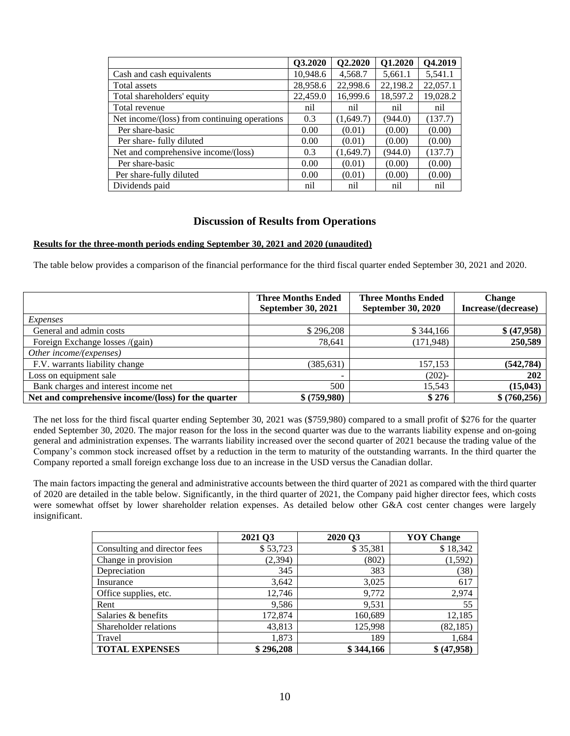|                                              | Q3.2020  | Q2.2020   | Q1.2020  | Q4.2019  |
|----------------------------------------------|----------|-----------|----------|----------|
| Cash and cash equivalents                    | 10,948.6 | 4,568.7   | 5,661.1  | 5,541.1  |
| Total assets                                 | 28,958.6 | 22,998.6  | 22,198.2 | 22,057.1 |
| Total shareholders' equity                   | 22,459.0 | 16,999.6  | 18,597.2 | 19,028.2 |
| Total revenue                                | nil      | nil       | nil      | nil      |
| Net income/(loss) from continuing operations | 0.3      | (1,649.7) | (944.0)  | (137.7)  |
| Per share-basic                              | 0.00     | (0.01)    | (0.00)   | (0.00)   |
| Per share- fully diluted                     | 0.00     | (0.01)    | (0.00)   | (0.00)   |
| Net and comprehensive income/(loss)          | 0.3      | (1,649.7) | (944.0)  | (137.7)  |
| Per share-basic                              | 0.00     | (0.01)    | (0.00)   | (0.00)   |
| Per share-fully diluted                      | 0.00     | (0.01)    | (0.00)   | (0.00)   |
| Dividends paid                               | nil      | nil       | nil      | nil      |

## **Discussion of Results from Operations**

### **Results for the three-month periods ending September 30, 2021 and 2020 (unaudited)**

The table below provides a comparison of the financial performance for the third fiscal quarter ended September 30, 2021 and 2020.

|                                                     | <b>Three Months Ended</b> | <b>Three Months Ended</b> | <b>Change</b>       |
|-----------------------------------------------------|---------------------------|---------------------------|---------------------|
|                                                     | <b>September 30, 2021</b> | <b>September 30, 2020</b> | Increase/(decrease) |
| Expenses                                            |                           |                           |                     |
| General and admin costs                             | \$296,208                 | \$344,166                 | \$ (47,958)         |
| Foreign Exchange losses /(gain)                     | 78,641                    | (171, 948)                | 250,589             |
| Other income/(expenses)                             |                           |                           |                     |
| F.V. warrants liability change                      | (385, 631)                | 157,153                   | (542, 784)          |
| Loss on equipment sale                              |                           | $(202)$ -                 | <b>202</b>          |
| Bank charges and interest income net                | 500                       | 15,543                    | (15, 043)           |
| Net and comprehensive income/(loss) for the quarter | \$ (759,980)              | \$276                     | \$ (760, 256)       |

The net loss for the third fiscal quarter ending September 30, 2021 was (\$759,980) compared to a small profit of \$276 for the quarter ended September 30, 2020. The major reason for the loss in the second quarter was due to the warrants liability expense and on-going general and administration expenses. The warrants liability increased over the second quarter of 2021 because the trading value of the Company's common stock increased offset by a reduction in the term to maturity of the outstanding warrants. In the third quarter the Company reported a small foreign exchange loss due to an increase in the USD versus the Canadian dollar.

The main factors impacting the general and administrative accounts between the third quarter of 2021 as compared with the third quarter of 2020 are detailed in the table below. Significantly, in the third quarter of 2021, the Company paid higher director fees, which costs were somewhat offset by lower shareholder relation expenses. As detailed below other G&A cost center changes were largely insignificant.

|                              | 2021 Q3   | 2020 Q3   | <b>YOY Change</b> |
|------------------------------|-----------|-----------|-------------------|
| Consulting and director fees | \$53,723  | \$35,381  | \$18,342          |
| Change in provision          | (2, 394)  | (802)     | (1, 592)          |
| Depreciation                 | 345       | 383       | (38)              |
| Insurance                    | 3,642     | 3,025     | 617               |
| Office supplies, etc.        | 12,746    | 9,772     | 2,974             |
| Rent                         | 9,586     | 9,531     | 55                |
| Salaries & benefits          | 172,874   | 160,689   | 12,185            |
| Shareholder relations        | 43,813    | 125,998   | (82, 185)         |
| Travel                       | 1,873     | 189       | 1,684             |
| <b>TOTAL EXPENSES</b>        | \$296,208 | \$344,166 | \$ (47,958)       |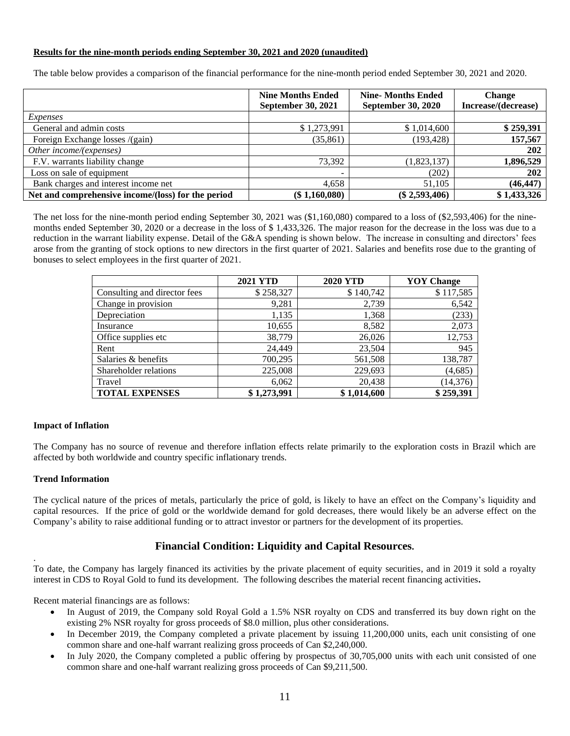### **Results for the nine-month periods ending September 30, 2021 and 2020 (unaudited)**

The table below provides a comparison of the financial performance for the nine-month period ended September 30, 2021 and 2020.

|                                                    | <b>Nine Months Ended</b><br><b>September 30, 2021</b> | <b>Nine-Months Ended</b><br><b>September 30, 2020</b> | <b>Change</b><br>Increase/(decrease) |
|----------------------------------------------------|-------------------------------------------------------|-------------------------------------------------------|--------------------------------------|
| <i>Expenses</i>                                    |                                                       |                                                       |                                      |
| General and admin costs                            | \$1,273,991                                           | \$1,014,600                                           | \$259,391                            |
| Foreign Exchange losses /(gain)                    | (35, 861)                                             | (193, 428)                                            | 157,567                              |
| Other income/(expenses)                            |                                                       |                                                       | 202                                  |
| F.V. warrants liability change                     | 73.392                                                | (1,823,137)                                           | 1,896,529                            |
| Loss on sale of equipment                          | -                                                     | (202)                                                 | 202                                  |
| Bank charges and interest income net               | 4,658                                                 | 51.105                                                | (46, 447)                            |
| Net and comprehensive income/(loss) for the period | (\$1,160,080)                                         | $(\$2,593,406)$                                       | \$1,433,326                          |

The net loss for the nine-month period ending September 30, 2021 was (\$1,160,080) compared to a loss of (\$2,593,406) for the ninemonths ended September 30, 2020 or a decrease in the loss of \$ 1,433,326. The major reason for the decrease in the loss was due to a reduction in the warrant liability expense. Detail of the G&A spending is shown below. The increase in consulting and directors' fees arose from the granting of stock options to new directors in the first quarter of 2021. Salaries and benefits rose due to the granting of bonuses to select employees in the first quarter of 2021.

|                              | <b>2021 YTD</b> | <b>2020 YTD</b> | <b>YOY</b> Change |
|------------------------------|-----------------|-----------------|-------------------|
| Consulting and director fees | \$258,327       | \$140,742       | \$117,585         |
| Change in provision          | 9,281           | 2,739           | 6,542             |
| Depreciation                 | 1,135           | 1,368           | (233)             |
| Insurance                    | 10,655          | 8,582           | 2,073             |
| Office supplies etc          | 38,779          | 26,026          | 12,753            |
| Rent                         | 24,449          | 23,504          | 945               |
| Salaries & benefits          | 700,295         | 561,508         | 138,787           |
| Shareholder relations        | 225,008         | 229,693         | (4,685)           |
| Travel                       | 6,062           | 20,438          | (14, 376)         |
| <b>TOTAL EXPENSES</b>        | \$1,273,991     | \$1,014,600     | \$259,391         |

### **Impact of Inflation**

The Company has no source of revenue and therefore inflation effects relate primarily to the exploration costs in Brazil which are affected by both worldwide and country specific inflationary trends.

### **Trend Information**

.

The cyclical nature of the prices of metals, particularly the price of gold, is likely to have an effect on the Company's liquidity and capital resources. If the price of gold or the worldwide demand for gold decreases, there would likely be an adverse effect on the Company's ability to raise additional funding or to attract investor or partners for the development of its properties.

# **Financial Condition: Liquidity and Capital Resources.**

To date, the Company has largely financed its activities by the private placement of equity securities, and in 2019 it sold a royalty interest in CDS to Royal Gold to fund its development. The following describes the material recent financing activities**.**

Recent material financings are as follows:

- In August of 2019, the Company sold Royal Gold a 1.5% NSR royalty on CDS and transferred its buy down right on the existing 2% NSR royalty for gross proceeds of \$8.0 million, plus other considerations.
- In December 2019, the Company completed a private placement by issuing 11,200,000 units, each unit consisting of one common share and one-half warrant realizing gross proceeds of Can \$2,240,000.
- In July 2020, the Company completed a public offering by prospectus of 30,705,000 units with each unit consisted of one common share and one-half warrant realizing gross proceeds of Can \$9,211,500.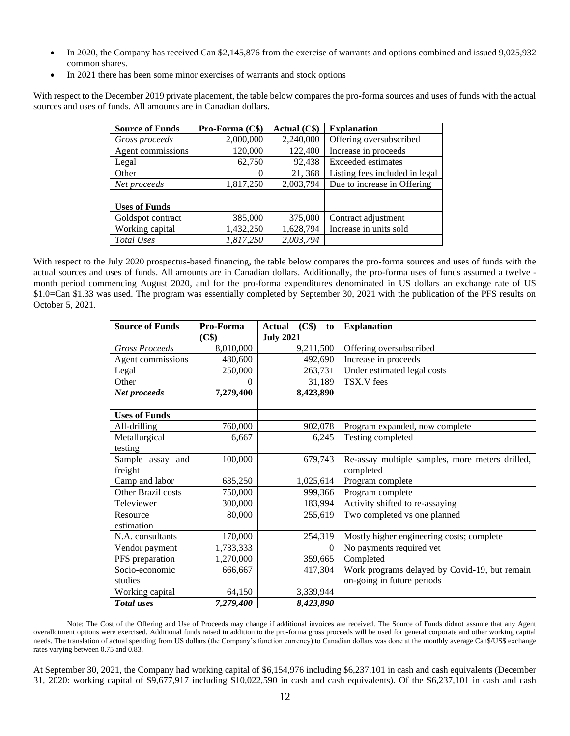- In 2020, the Company has received Can \$2,145,876 from the exercise of warrants and options combined and issued 9,025,932 common shares.
- In 2021 there has been some minor exercises of warrants and stock options

With respect to the December 2019 private placement, the table below compares the pro-forma sources and uses of funds with the actual sources and uses of funds. All amounts are in Canadian dollars.

| <b>Source of Funds</b> | Pro-Forma (C\$) | Actual (C\$) | <b>Explanation</b>             |
|------------------------|-----------------|--------------|--------------------------------|
| Gross proceeds         | 2,000,000       | 2,240,000    | Offering oversubscribed        |
| Agent commissions      | 120,000         | 122,400      | Increase in proceeds           |
| Legal                  | 62,750          | 92,438       | Exceeded estimates             |
| Other                  | 0               | 21, 368      | Listing fees included in legal |
| Net proceeds           | 1,817,250       | 2,003,794    | Due to increase in Offering    |
|                        |                 |              |                                |
| <b>Uses of Funds</b>   |                 |              |                                |
| Goldspot contract      | 385,000         | 375,000      | Contract adjustment            |
| Working capital        | 1,432,250       | 1,628,794    | Increase in units sold         |
| Total Uses             | 1,817,250       | 2,003,794    |                                |

With respect to the July 2020 prospectus-based financing, the table below compares the pro-forma sources and uses of funds with the actual sources and uses of funds. All amounts are in Canadian dollars. Additionally, the pro-forma uses of funds assumed a twelve month period commencing August 2020, and for the pro-forma expenditures denominated in US dollars an exchange rate of US \$1.0=Can \$1.33 was used. The program was essentially completed by September 30, 2021 with the publication of the PFS results on October 5, 2021.

| <b>Source of Funds</b> | Pro-Forma          | $(C$ (C\spectrically)<br><b>Actual</b><br>to | <b>Explanation</b>                              |
|------------------------|--------------------|----------------------------------------------|-------------------------------------------------|
| <b>Gross Proceeds</b>  | (C\$)<br>8,010,000 | <b>July 2021</b>                             |                                                 |
|                        |                    | 9,211,500                                    | Offering oversubscribed                         |
| Agent commissions      | 480,600            | 492,690                                      | Increase in proceeds                            |
| Legal                  | 250,000            | 263,731                                      | Under estimated legal costs                     |
| Other                  | $\mathbf{0}$       | 31,189                                       | TSX.V fees                                      |
| Net proceeds           | 7,279,400          | 8,423,890                                    |                                                 |
|                        |                    |                                              |                                                 |
| <b>Uses of Funds</b>   |                    |                                              |                                                 |
| All-drilling           | 760,000            | 902,078                                      | Program expanded, now complete                  |
| Metallurgical          | 6,667              | 6,245                                        | Testing completed                               |
| testing                |                    |                                              |                                                 |
| Sample assay and       | 100,000            | 679,743                                      | Re-assay multiple samples, more meters drilled, |
| freight                |                    |                                              | completed                                       |
| Camp and labor         | 635,250            | 1,025,614                                    | Program complete                                |
| Other Brazil costs     | 750,000            | 999,366                                      | Program complete                                |
| Televiewer             | 300,000            | 183,994                                      | Activity shifted to re-assaying                 |
| Resource               | 80,000             | 255,619                                      | Two completed vs one planned                    |
| estimation             |                    |                                              |                                                 |
| N.A. consultants       | 170,000            | 254,319                                      | Mostly higher engineering costs; complete       |
| Vendor payment         | 1,733,333          | $\theta$                                     | No payments required yet                        |
| PFS preparation        | 1,270,000          | 359,665                                      | Completed                                       |
| Socio-economic         | 666,667            | 417,304                                      | Work programs delayed by Covid-19, but remain   |
| studies                |                    |                                              | on-going in future periods                      |
| Working capital        | 64,150             | 3,339,944                                    |                                                 |
| <b>Total</b> uses      | 7,279,400          | 8,423,890                                    |                                                 |

Note: The Cost of the Offering and Use of Proceeds may change if additional invoices are received. The Source of Funds didnot assume that any Agent overallotment options were exercised. Additional funds raised in addition to the pro-forma gross proceeds will be used for general corporate and other working capital needs. The translation of actual spending from US dollars (the Company's function currency) to Canadian dollars was done at the monthly average Can\$/US\$ exchange rates varying between 0.75 and 0.83.

At September 30, 2021, the Company had working capital of \$6,154,976 including \$6,237,101 in cash and cash equivalents (December 31, 2020: working capital of \$9,677,917 including \$10,022,590 in cash and cash equivalents). Of the \$6,237,101 in cash and cash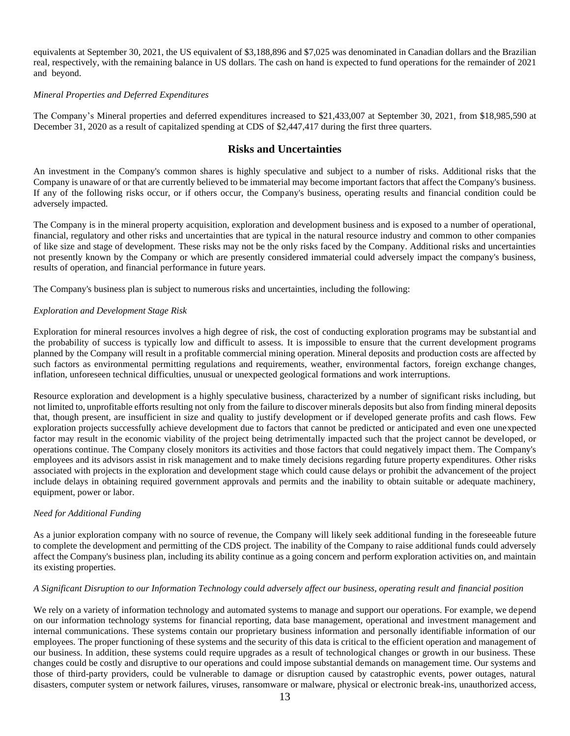equivalents at September 30, 2021, the US equivalent of \$3,188,896 and \$7,025 was denominated in Canadian dollars and the Brazilian real, respectively, with the remaining balance in US dollars. The cash on hand is expected to fund operations for the remainder of 2021 and beyond.

### *Mineral Properties and Deferred Expenditures*

The Company's Mineral properties and deferred expenditures increased to \$21,433,007 at September 30, 2021, from \$18,985,590 at December 31, 2020 as a result of capitalized spending at CDS of \$2,447,417 during the first three quarters.

## **Risks and Uncertainties**

An investment in the Company's common shares is highly speculative and subject to a number of risks. Additional risks that the Company is unaware of or that are currently believed to be immaterial may become important factors that affect the Company's business. If any of the following risks occur, or if others occur, the Company's business, operating results and financial condition could be adversely impacted.

The Company is in the mineral property acquisition, exploration and development business and is exposed to a number of operational, financial, regulatory and other risks and uncertainties that are typical in the natural resource industry and common to other companies of like size and stage of development. These risks may not be the only risks faced by the Company. Additional risks and uncertainties not presently known by the Company or which are presently considered immaterial could adversely impact the company's business, results of operation, and financial performance in future years.

The Company's business plan is subject to numerous risks and uncertainties, including the following:

### *Exploration and Development Stage Risk*

Exploration for mineral resources involves a high degree of risk, the cost of conducting exploration programs may be substantial and the probability of success is typically low and difficult to assess. It is impossible to ensure that the current development programs planned by the Company will result in a profitable commercial mining operation. Mineral deposits and production costs are affected by such factors as environmental permitting regulations and requirements, weather, environmental factors, foreign exchange changes, inflation, unforeseen technical difficulties, unusual or unexpected geological formations and work interruptions.

Resource exploration and development is a highly speculative business, characterized by a number of significant risks including, but not limited to, unprofitable efforts resulting not only from the failure to discover minerals deposits but also from finding mineral deposits that, though present, are insufficient in size and quality to justify development or if developed generate profits and cash flows. Few exploration projects successfully achieve development due to factors that cannot be predicted or anticipated and even one unexpected factor may result in the economic viability of the project being detrimentally impacted such that the project cannot be developed, or operations continue. The Company closely monitors its activities and those factors that could negatively impact them. The Company's employees and its advisors assist in risk management and to make timely decisions regarding future property expenditures. Other risks associated with projects in the exploration and development stage which could cause delays or prohibit the advancement of the project include delays in obtaining required government approvals and permits and the inability to obtain suitable or adequate machinery, equipment, power or labor.

### *Need for Additional Funding*

As a junior exploration company with no source of revenue, the Company will likely seek additional funding in the foreseeable future to complete the development and permitting of the CDS project. The inability of the Company to raise additional funds could adversely affect the Company's business plan, including its ability continue as a going concern and perform exploration activities on, and maintain its existing properties.

### *A Significant Disruption to our Information Technology could adversely affect our business, operating result and financial position*

We rely on a variety of information technology and automated systems to manage and support our operations. For example, we depend on our information technology systems for financial reporting, data base management, operational and investment management and internal communications. These systems contain our proprietary business information and personally identifiable information of our employees. The proper functioning of these systems and the security of this data is critical to the efficient operation and management of our business. In addition, these systems could require upgrades as a result of technological changes or growth in our business. These changes could be costly and disruptive to our operations and could impose substantial demands on management time. Our systems and those of third-party providers, could be vulnerable to damage or disruption caused by catastrophic events, power outages, natural disasters, computer system or network failures, viruses, ransomware or malware, physical or electronic break-ins, unauthorized access,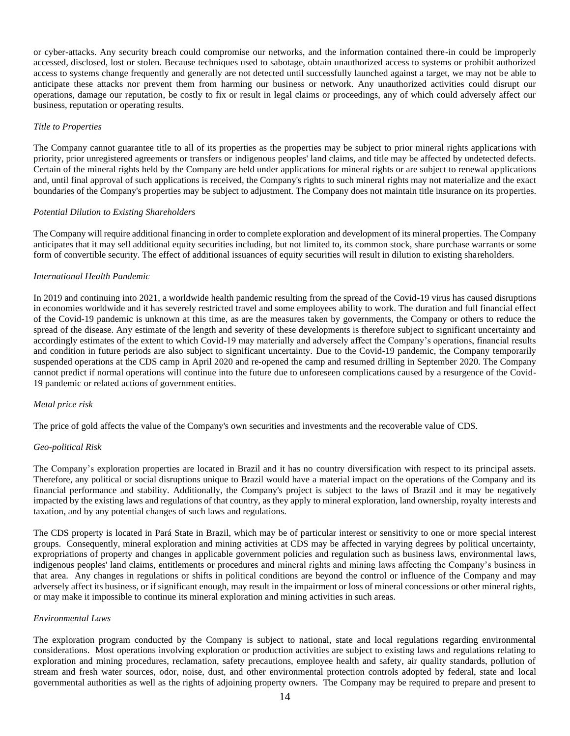or cyber-attacks. Any security breach could compromise our networks, and the information contained there-in could be improperly accessed, disclosed, lost or stolen. Because techniques used to sabotage, obtain unauthorized access to systems or prohibit authorized access to systems change frequently and generally are not detected until successfully launched against a target, we may not be able to anticipate these attacks nor prevent them from harming our business or network. Any unauthorized activities could disrupt our operations, damage our reputation, be costly to fix or result in legal claims or proceedings, any of which could adversely affect our business, reputation or operating results.

### *Title to Properties*

The Company cannot guarantee title to all of its properties as the properties may be subject to prior mineral rights applications with priority, prior unregistered agreements or transfers or indigenous peoples' land claims, and title may be affected by undetected defects. Certain of the mineral rights held by the Company are held under applications for mineral rights or are subject to renewal applications and, until final approval of such applications is received, the Company's rights to such mineral rights may not materialize and the exact boundaries of the Company's properties may be subject to adjustment. The Company does not maintain title insurance on its properties.

### *Potential Dilution to Existing Shareholders*

The Company will require additional financing in order to complete exploration and development of its mineral properties. The Company anticipates that it may sell additional equity securities including, but not limited to, its common stock, share purchase warrants or some form of convertible security. The effect of additional issuances of equity securities will result in dilution to existing shareholders.

### *International Health Pandemic*

In 2019 and continuing into 2021, a worldwide health pandemic resulting from the spread of the Covid-19 virus has caused disruptions in economies worldwide and it has severely restricted travel and some employees ability to work. The duration and full financial effect of the Covid-19 pandemic is unknown at this time, as are the measures taken by governments, the Company or others to reduce the spread of the disease. Any estimate of the length and severity of these developments is therefore subject to significant uncertainty and accordingly estimates of the extent to which Covid-19 may materially and adversely affect the Company's operations, financial results and condition in future periods are also subject to significant uncertainty. Due to the Covid-19 pandemic, the Company temporarily suspended operations at the CDS camp in April 2020 and re-opened the camp and resumed drilling in September 2020. The Company cannot predict if normal operations will continue into the future due to unforeseen complications caused by a resurgence of the Covid-19 pandemic or related actions of government entities.

### *Metal price risk*

The price of gold affects the value of the Company's own securities and investments and the recoverable value of CDS.

### *Geo-political Risk*

The Company's exploration properties are located in Brazil and it has no country diversification with respect to its principal assets. Therefore, any political or social disruptions unique to Brazil would have a material impact on the operations of the Company and its financial performance and stability. Additionally, the Company's project is subject to the laws of Brazil and it may be negatively impacted by the existing laws and regulations of that country, as they apply to mineral exploration, land ownership, royalty interests and taxation, and by any potential changes of such laws and regulations.

The CDS property is located in Pará State in Brazil, which may be of particular interest or sensitivity to one or more special interest groups. Consequently, mineral exploration and mining activities at CDS may be affected in varying degrees by political uncertainty, expropriations of property and changes in applicable government policies and regulation such as business laws, environmental laws, indigenous peoples' land claims, entitlements or procedures and mineral rights and mining laws affecting the Company's business in that area. Any changes in regulations or shifts in political conditions are beyond the control or influence of the Company and may adversely affect its business, or if significant enough, may result in the impairment or loss of mineral concessions or other mineral rights, or may make it impossible to continue its mineral exploration and mining activities in such areas.

### *Environmental Laws*

The exploration program conducted by the Company is subject to national, state and local regulations regarding environmental considerations. Most operations involving exploration or production activities are subject to existing laws and regulations relating to exploration and mining procedures, reclamation, safety precautions, employee health and safety, air quality standards, pollution of stream and fresh water sources, odor, noise, dust, and other environmental protection controls adopted by federal, state and local governmental authorities as well as the rights of adjoining property owners. The Company may be required to prepare and present to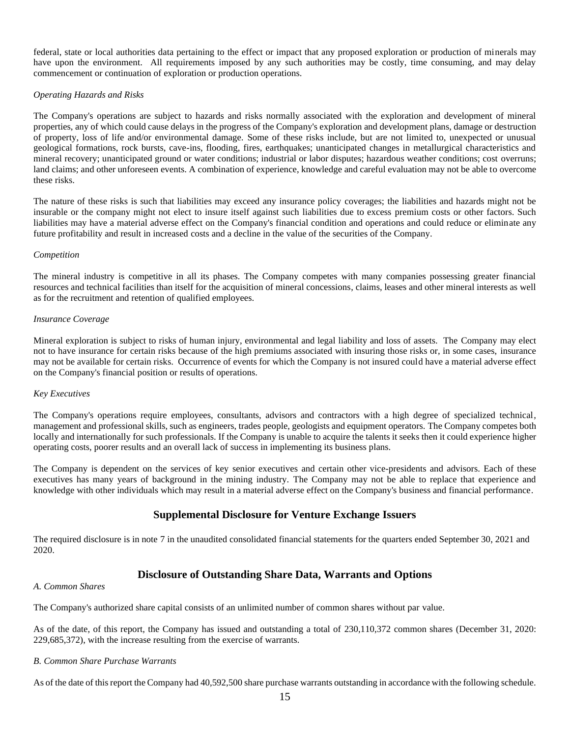federal, state or local authorities data pertaining to the effect or impact that any proposed exploration or production of minerals may have upon the environment. All requirements imposed by any such authorities may be costly, time consuming, and may delay commencement or continuation of exploration or production operations.

## *Operating Hazards and Risks*

The Company's operations are subject to hazards and risks normally associated with the exploration and development of mineral properties, any of which could cause delays in the progress of the Company's exploration and development plans, damage or destruction of property, loss of life and/or environmental damage. Some of these risks include, but are not limited to, unexpected or unusual geological formations, rock bursts, cave-ins, flooding, fires, earthquakes; unanticipated changes in metallurgical characteristics and mineral recovery; unanticipated ground or water conditions; industrial or labor disputes; hazardous weather conditions; cost overruns; land claims; and other unforeseen events. A combination of experience, knowledge and careful evaluation may not be able to overcome these risks.

The nature of these risks is such that liabilities may exceed any insurance policy coverages; the liabilities and hazards might not be insurable or the company might not elect to insure itself against such liabilities due to excess premium costs or other factors. Such liabilities may have a material adverse effect on the Company's financial condition and operations and could reduce or eliminate any future profitability and result in increased costs and a decline in the value of the securities of the Company.

### *Competition*

The mineral industry is competitive in all its phases. The Company competes with many companies possessing greater financial resources and technical facilities than itself for the acquisition of mineral concessions, claims, leases and other mineral interests as well as for the recruitment and retention of qualified employees.

## *Insurance Coverage*

Mineral exploration is subject to risks of human injury, environmental and legal liability and loss of assets. The Company may elect not to have insurance for certain risks because of the high premiums associated with insuring those risks or, in some cases, insurance may not be available for certain risks. Occurrence of events for which the Company is not insured could have a material adverse effect on the Company's financial position or results of operations.

## *Key Executives*

The Company's operations require employees, consultants, advisors and contractors with a high degree of specialized technical, management and professional skills, such as engineers, trades people, geologists and equipment operators. The Company competes both locally and internationally for such professionals. If the Company is unable to acquire the talents it seeks then it could experience higher operating costs, poorer results and an overall lack of success in implementing its business plans.

The Company is dependent on the services of key senior executives and certain other vice-presidents and advisors. Each of these executives has many years of background in the mining industry. The Company may not be able to replace that experience and knowledge with other individuals which may result in a material adverse effect on the Company's business and financial performance.

# **Supplemental Disclosure for Venture Exchange Issuers**

The required disclosure is in note 7 in the unaudited consolidated financial statements for the quarters ended September 30, 2021 and 2020.

# **Disclosure of Outstanding Share Data, Warrants and Options**

### *A. Common Shares*

The Company's authorized share capital consists of an unlimited number of common shares without par value.

As of the date, of this report, the Company has issued and outstanding a total of 230,110,372 common shares (December 31, 2020: 229,685,372), with the increase resulting from the exercise of warrants.

### *B. Common Share Purchase Warrants*

As of the date of this report the Company had 40,592,500 share purchase warrants outstanding in accordance with the following schedule.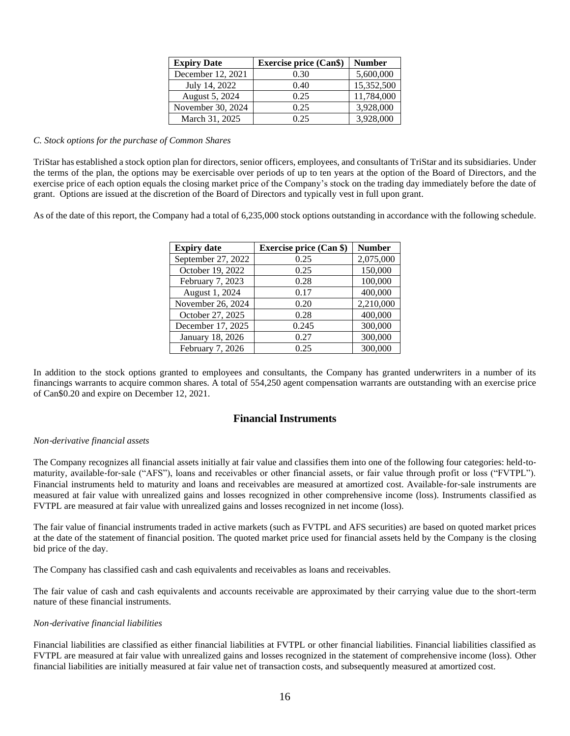| <b>Expiry Date</b> | <b>Exercise price (Can\$)</b> | <b>Number</b> |
|--------------------|-------------------------------|---------------|
| December 12, 2021  | 0.30                          | 5,600,000     |
| July 14, 2022      | 0.40                          | 15,352,500    |
| August 5, 2024     | 0.25                          | 11,784,000    |
| November 30, 2024  | 0.25                          | 3,928,000     |
| March 31, 2025     | 0.25                          | 3,928,000     |

### *C. Stock options for the purchase of Common Shares*

TriStar has established a stock option plan for directors, senior officers, employees, and consultants of TriStar and its subsidiaries. Under the terms of the plan, the options may be exercisable over periods of up to ten years at the option of the Board of Directors, and the exercise price of each option equals the closing market price of the Company's stock on the trading day immediately before the date of grant. Options are issued at the discretion of the Board of Directors and typically vest in full upon grant.

As of the date of this report, the Company had a total of 6,235,000 stock options outstanding in accordance with the following schedule.

| <b>Expiry date</b> | <b>Exercise price (Can \$)</b> | <b>Number</b> |
|--------------------|--------------------------------|---------------|
| September 27, 2022 | 0.25                           | 2,075,000     |
| October 19, 2022   | 0.25                           | 150,000       |
| February 7, 2023   | 0.28                           | 100,000       |
| August 1, 2024     | 0.17                           | 400,000       |
| November 26, 2024  | 0.20                           | 2,210,000     |
| October 27, 2025   | 0.28                           | 400,000       |
| December 17, 2025  | 0.245                          | 300,000       |
| January 18, 2026   | 0.27                           | 300,000       |
| February 7, 2026   | 0.25                           | 300,000       |

In addition to the stock options granted to employees and consultants, the Company has granted underwriters in a number of its financings warrants to acquire common shares. A total of 554,250 agent compensation warrants are outstanding with an exercise price of Can\$0.20 and expire on December 12, 2021.

## **Financial Instruments**

### *Non*‐*derivative financial assets*

The Company recognizes all financial assets initially at fair value and classifies them into one of the following four categories: held-tomaturity, available-for-sale ("AFS"), loans and receivables or other financial assets, or fair value through profit or loss ("FVTPL"). Financial instruments held to maturity and loans and receivables are measured at amortized cost. Available-for-sale instruments are measured at fair value with unrealized gains and losses recognized in other comprehensive income (loss). Instruments classified as FVTPL are measured at fair value with unrealized gains and losses recognized in net income (loss).

The fair value of financial instruments traded in active markets (such as FVTPL and AFS securities) are based on quoted market prices at the date of the statement of financial position. The quoted market price used for financial assets held by the Company is the closing bid price of the day.

The Company has classified cash and cash equivalents and receivables as loans and receivables.

The fair value of cash and cash equivalents and accounts receivable are approximated by their carrying value due to the short-term nature of these financial instruments.

### *Non*‐*derivative financial liabilities*

Financial liabilities are classified as either financial liabilities at FVTPL or other financial liabilities. Financial liabilities classified as FVTPL are measured at fair value with unrealized gains and losses recognized in the statement of comprehensive income (loss). Other financial liabilities are initially measured at fair value net of transaction costs, and subsequently measured at amortized cost.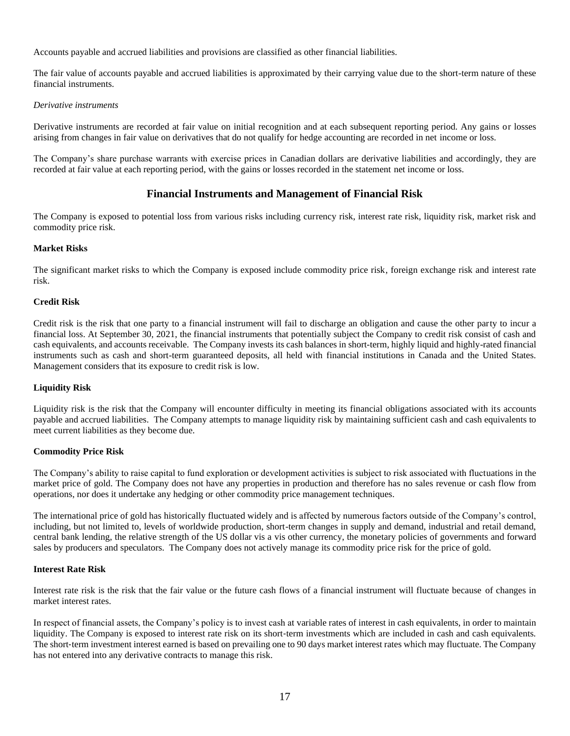Accounts payable and accrued liabilities and provisions are classified as other financial liabilities.

The fair value of accounts payable and accrued liabilities is approximated by their carrying value due to the short-term nature of these financial instruments.

### *Derivative instruments*

Derivative instruments are recorded at fair value on initial recognition and at each subsequent reporting period. Any gains or losses arising from changes in fair value on derivatives that do not qualify for hedge accounting are recorded in net income or loss.

The Company's share purchase warrants with exercise prices in Canadian dollars are derivative liabilities and accordingly, they are recorded at fair value at each reporting period, with the gains or losses recorded in the statement net income or loss.

# **Financial Instruments and Management of Financial Risk**

The Company is exposed to potential loss from various risks including currency risk, interest rate risk, liquidity risk, market risk and commodity price risk.

## **Market Risks**

The significant market risks to which the Company is exposed include commodity price risk, foreign exchange risk and interest rate risk.

## **Credit Risk**

Credit risk is the risk that one party to a financial instrument will fail to discharge an obligation and cause the other party to incur a financial loss. At September 30, 2021, the financial instruments that potentially subject the Company to credit risk consist of cash and cash equivalents, and accounts receivable. The Company invests its cash balances in short-term, highly liquid and highly-rated financial instruments such as cash and short-term guaranteed deposits, all held with financial institutions in Canada and the United States. Management considers that its exposure to credit risk is low.

## **Liquidity Risk**

Liquidity risk is the risk that the Company will encounter difficulty in meeting its financial obligations associated with its accounts payable and accrued liabilities. The Company attempts to manage liquidity risk by maintaining sufficient cash and cash equivalents to meet current liabilities as they become due.

## **Commodity Price Risk**

The Company's ability to raise capital to fund exploration or development activities is subject to risk associated with fluctuations in the market price of gold. The Company does not have any properties in production and therefore has no sales revenue or cash flow from operations, nor does it undertake any hedging or other commodity price management techniques.

The international price of gold has historically fluctuated widely and is affected by numerous factors outside of the Company's control, including, but not limited to, levels of worldwide production, short-term changes in supply and demand, industrial and retail demand, central bank lending, the relative strength of the US dollar vis a vis other currency, the monetary policies of governments and forward sales by producers and speculators. The Company does not actively manage its commodity price risk for the price of gold.

### **Interest Rate Risk**

Interest rate risk is the risk that the fair value or the future cash flows of a financial instrument will fluctuate because of changes in market interest rates.

In respect of financial assets, the Company's policy is to invest cash at variable rates of interest in cash equivalents, in order to maintain liquidity. The Company is exposed to interest rate risk on its short‐term investments which are included in cash and cash equivalents. The short-term investment interest earned is based on prevailing one to 90 days market interest rates which may fluctuate. The Company has not entered into any derivative contracts to manage this risk.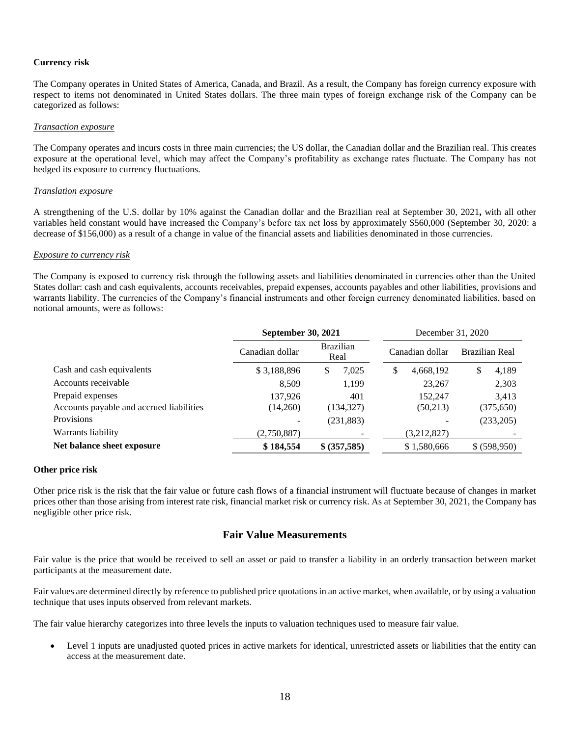### **Currency risk**

The Company operates in United States of America, Canada, and Brazil. As a result, the Company has foreign currency exposure with respect to items not denominated in United States dollars. The three main types of foreign exchange risk of the Company can be categorized as follows:

#### *Transaction exposure*

The Company operates and incurs costs in three main currencies; the US dollar, the Canadian dollar and the Brazilian real. This creates exposure at the operational level, which may affect the Company's profitability as exchange rates fluctuate. The Company has not hedged its exposure to currency fluctuations.

#### *Translation exposure*

A strengthening of the U.S. dollar by 10% against the Canadian dollar and the Brazilian real at September 30, 2021**,** with all other variables held constant would have increased the Company's before tax net loss by approximately \$560,000 (September 30, 2020: a decrease of \$156,000) as a result of a change in value of the financial assets and liabilities denominated in those currencies.

### *Exposure to currency risk*

The Company is exposed to currency risk through the following assets and liabilities denominated in currencies other than the United States dollar: cash and cash equivalents, accounts receivables, prepaid expenses, accounts payables and other liabilities, provisions and warrants liability. The currencies of the Company's financial instruments and other foreign currency denominated liabilities, based on notional amounts, were as follows:

|                                          | <b>September 30, 2021</b> |                          | December 31, 2020 |                |
|------------------------------------------|---------------------------|--------------------------|-------------------|----------------|
|                                          | Canadian dollar           | <b>Brazilian</b><br>Real | Canadian dollar   | Brazilian Real |
| Cash and cash equivalents                | \$3,188,896               | S<br>7,025               | \$<br>4,668,192   | 4,189<br>S     |
| Accounts receivable                      | 8.509                     | 1,199                    | 23,267            | 2,303          |
| Prepaid expenses                         | 137.926                   | 401                      | 152,247           | 3,413          |
| Accounts payable and accrued liabilities | (14,260)                  | (134, 327)               | (50,213)          | (375, 650)     |
| Provisions                               |                           | (231, 883)               |                   | (233,205)      |
| Warrants liability                       | (2,750,887)               |                          | (3,212,827)       |                |
| Net balance sheet exposure               | \$184,554                 | \$ (357,585)             | \$1,580,666       | \$ (598,950)   |

### **Other price risk**

Other price risk is the risk that the fair value or future cash flows of a financial instrument will fluctuate because of changes in market prices other than those arising from interest rate risk, financial market risk or currency risk. As at September 30, 2021, the Company has negligible other price risk.

## **Fair Value Measurements**

Fair value is the price that would be received to sell an asset or paid to transfer a liability in an orderly transaction between market participants at the measurement date.

Fair values are determined directly by reference to published price quotations in an active market, when available, or by using a valuation technique that uses inputs observed from relevant markets.

The fair value hierarchy categorizes into three levels the inputs to valuation techniques used to measure fair value.

Level 1 inputs are unadjusted quoted prices in active markets for identical, unrestricted assets or liabilities that the entity can access at the measurement date.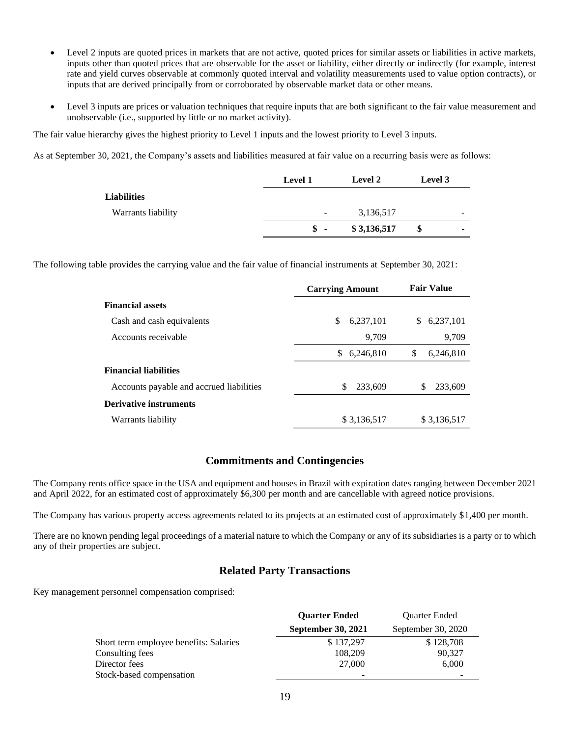- Level 2 inputs are quoted prices in markets that are not active, quoted prices for similar assets or liabilities in active markets, inputs other than quoted prices that are observable for the asset or liability, either directly or indirectly (for example, interest rate and yield curves observable at commonly quoted interval and volatility measurements used to value option contracts), or inputs that are derived principally from or corroborated by observable market data or other means.
- Level 3 inputs are prices or valuation techniques that require inputs that are both significant to the fair value measurement and unobservable (i.e., supported by little or no market activity).

The fair value hierarchy gives the highest priority to Level 1 inputs and the lowest priority to Level 3 inputs.

As at September 30, 2021, the Company's assets and liabilities measured at fair value on a recurring basis were as follows:

|                    | Level 1                  | <b>Level 2</b> | Level 3 |   |
|--------------------|--------------------------|----------------|---------|---|
| <b>Liabilities</b> |                          |                |         |   |
| Warrants liability | $\overline{\phantom{a}}$ | 3,136,517      |         | - |
|                    | $\degree$ -              | \$3,136,517    | \$      | ۰ |

The following table provides the carrying value and the fair value of financial instruments at September 30, 2021:

|                                          | <b>Carrying Amount</b> | <b>Fair Value</b> |
|------------------------------------------|------------------------|-------------------|
| <b>Financial assets</b>                  |                        |                   |
| Cash and cash equivalents                | \$<br>6,237,101        | \$<br>6,237,101   |
| Accounts receivable                      | 9.709                  | 9,709             |
|                                          | \$<br>6,246,810        | S<br>6,246,810    |
| <b>Financial liabilities</b>             |                        |                   |
| Accounts payable and accrued liabilities | S<br>233,609           | S<br>233,609      |
| <b>Derivative instruments</b>            |                        |                   |
| Warrants liability                       | \$3,136,517            | \$3,136,517       |

## **Commitments and Contingencies**

The Company rents office space in the USA and equipment and houses in Brazil with expiration dates ranging between December 2021 and April 2022, for an estimated cost of approximately \$6,300 per month and are cancellable with agreed notice provisions.

The Company has various property access agreements related to its projects at an estimated cost of approximately \$1,400 per month.

There are no known pending legal proceedings of a material nature to which the Company or any of its subsidiaries is a party or to which any of their properties are subject.

## **Related Party Transactions**

Key management personnel compensation comprised:

|                                        | <b>Ouarter Ended</b>      | <b>Ouarter Ended</b> |  |
|----------------------------------------|---------------------------|----------------------|--|
|                                        | <b>September 30, 2021</b> | September 30, 2020   |  |
| Short term employee benefits: Salaries | \$137,297                 | \$128,708            |  |
| Consulting fees                        | 108,209                   | 90,327               |  |
| Director fees                          | 27,000                    | 6,000                |  |
| Stock-based compensation               | ۰                         |                      |  |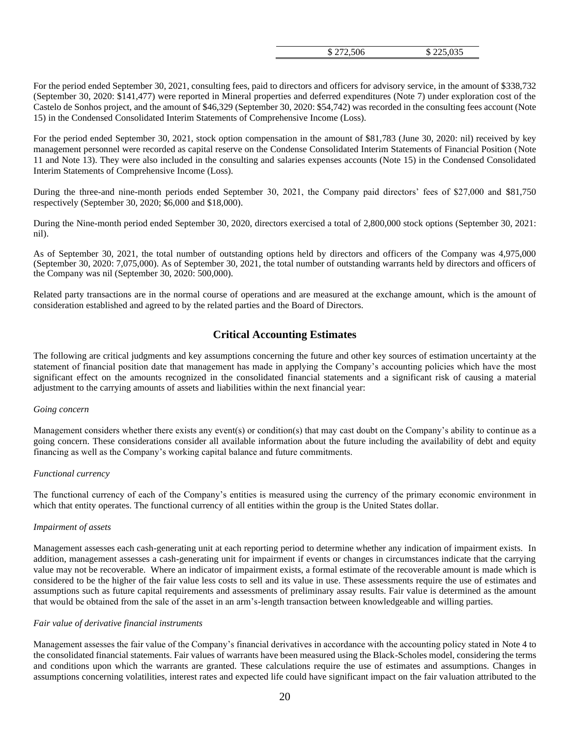| \$225,035<br>\$272,506 |
|------------------------|
|------------------------|

For the period ended September 30, 2021, consulting fees, paid to directors and officers for advisory service, in the amount of \$338,732 (September 30, 2020: \$141,477) were reported in Mineral properties and deferred expenditures (Note 7) under exploration cost of the Castelo de Sonhos project, and the amount of \$46,329 (September 30, 2020: \$54,742) was recorded in the consulting fees account (Note 15) in the Condensed Consolidated Interim Statements of Comprehensive Income (Loss).

For the period ended September 30, 2021, stock option compensation in the amount of \$81,783 (June 30, 2020: nil) received by key management personnel were recorded as capital reserve on the Condense Consolidated Interim Statements of Financial Position (Note 11 and Note 13). They were also included in the consulting and salaries expenses accounts (Note 15) in the Condensed Consolidated Interim Statements of Comprehensive Income (Loss).

During the three-and nine-month periods ended September 30, 2021, the Company paid directors' fees of \$27,000 and \$81,750 respectively (September 30, 2020; \$6,000 and \$18,000).

During the Nine-month period ended September 30, 2020, directors exercised a total of 2,800,000 stock options (September 30, 2021: nil).

As of September 30, 2021, the total number of outstanding options held by directors and officers of the Company was 4,975,000 (September 30, 2020: 7,075,000). As of September 30, 2021, the total number of outstanding warrants held by directors and officers of the Company was nil (September 30, 2020: 500,000).

Related party transactions are in the normal course of operations and are measured at the exchange amount, which is the amount of consideration established and agreed to by the related parties and the Board of Directors.

## **Critical Accounting Estimates**

The following are critical judgments and key assumptions concerning the future and other key sources of estimation uncertainty at the statement of financial position date that management has made in applying the Company's accounting policies which have the most significant effect on the amounts recognized in the consolidated financial statements and a significant risk of causing a material adjustment to the carrying amounts of assets and liabilities within the next financial year:

### *Going concern*

Management considers whether there exists any event(s) or condition(s) that may cast doubt on the Company's ability to continue as a going concern. These considerations consider all available information about the future including the availability of debt and equity financing as well as the Company's working capital balance and future commitments.

### *Functional currency*

The functional currency of each of the Company's entities is measured using the currency of the primary economic environment in which that entity operates. The functional currency of all entities within the group is the United States dollar.

### *Impairment of assets*

Management assesses each cash-generating unit at each reporting period to determine whether any indication of impairment exists. In addition, management assesses a cash-generating unit for impairment if events or changes in circumstances indicate that the carrying value may not be recoverable. Where an indicator of impairment exists, a formal estimate of the recoverable amount is made which is considered to be the higher of the fair value less costs to sell and its value in use. These assessments require the use of estimates and assumptions such as future capital requirements and assessments of preliminary assay results. Fair value is determined as the amount that would be obtained from the sale of the asset in an arm's-length transaction between knowledgeable and willing parties.

### *Fair value of derivative financial instruments*

Management assesses the fair value of the Company's financial derivatives in accordance with the accounting policy stated in Note 4 to the consolidated financial statements. Fair values of warrants have been measured using the Black-Scholes model, considering the terms and conditions upon which the warrants are granted. These calculations require the use of estimates and assumptions. Changes in assumptions concerning volatilities, interest rates and expected life could have significant impact on the fair valuation attributed to the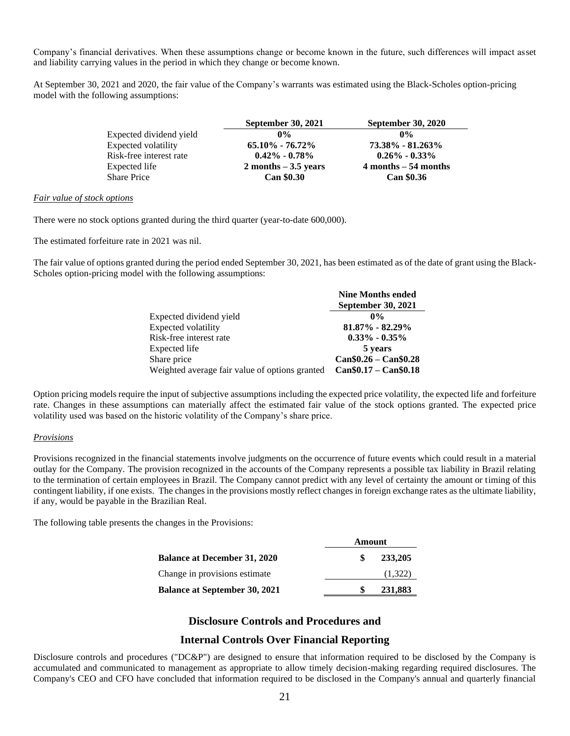Company's financial derivatives. When these assumptions change or become known in the future, such differences will impact asset and liability carrying values in the period in which they change or become known.

At September 30, 2021 and 2020, the fair value of the Company's warrants was estimated using the Black-Scholes option-pricing model with the following assumptions:

|                         | <b>September 30, 2021</b> | <b>September 30, 2020</b> |
|-------------------------|---------------------------|---------------------------|
| Expected dividend yield | $0\%$                     | $0\%$                     |
| Expected volatility     | $65.10\% - 76.72\%$       | 73.38% - 81.263%          |
| Risk-free interest rate | $0.42\% - 0.78\%$         | $0.26\% - 0.33\%$         |
| Expected life           | $2$ months $-3.5$ years   | $4$ months $-54$ months   |
| <b>Share Price</b>      | <b>Can \$0.30</b>         | <b>Can \$0.36</b>         |

### *Fair value of stock options*

There were no stock options granted during the third quarter (year-to-date 600,000).

The estimated forfeiture rate in 2021 was nil.

The fair value of options granted during the period ended September 30, 2021, has been estimated as of the date of grant using the Black-Scholes option-pricing model with the following assumptions:

|                                                | <b>Nine Months ended</b>  |
|------------------------------------------------|---------------------------|
|                                                | <b>September 30, 2021</b> |
| Expected dividend yield                        | $0\%$                     |
| Expected volatility                            | 81.87% - 82.29%           |
| Risk-free interest rate                        | $0.33\% - 0.35\%$         |
| Expected life                                  | 5 years                   |
| Share price                                    | $Can $0.26 - Can $0.28$   |
| Weighted average fair value of options granted | $Can $0.17 - Can $0.18$   |

Option pricing models require the input of subjective assumptions including the expected price volatility, the expected life and forfeiture rate. Changes in these assumptions can materially affect the estimated fair value of the stock options granted. The expected price volatility used was based on the historic volatility of the Company's share price.

## *Provisions*

Provisions recognized in the financial statements involve judgments on the occurrence of future events which could result in a material outlay for the Company. The provision recognized in the accounts of the Company represents a possible tax liability in Brazil relating to the termination of certain employees in Brazil. The Company cannot predict with any level of certainty the amount or timing of this contingent liability, if one exists. The changes in the provisions mostly reflect changes in foreign exchange rates as the ultimate liability, if any, would be payable in the Brazilian Real.

The following table presents the changes in the Provisions:

|                                      | Ашоиш |         |
|--------------------------------------|-------|---------|
| <b>Balance at December 31, 2020</b>  |       | 233,205 |
| Change in provisions estimate        |       | (1,322) |
| <b>Balance at September 30, 2021</b> |       | 231,883 |

**Amount**

## **Disclosure Controls and Procedures and**

## **Internal Controls Over Financial Reporting**

Disclosure controls and procedures ("DC&P") are designed to ensure that information required to be disclosed by the Company is accumulated and communicated to management as appropriate to allow timely decision-making regarding required disclosures. The Company's CEO and CFO have concluded that information required to be disclosed in the Company's annual and quarterly financial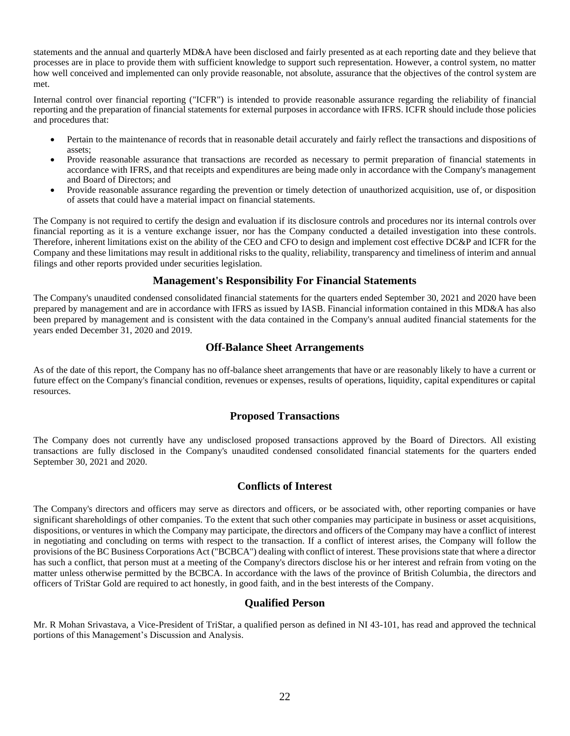statements and the annual and quarterly MD&A have been disclosed and fairly presented as at each reporting date and they believe that processes are in place to provide them with sufficient knowledge to support such representation. However, a control system, no matter how well conceived and implemented can only provide reasonable, not absolute, assurance that the objectives of the control system are met.

Internal control over financial reporting ("ICFR") is intended to provide reasonable assurance regarding the reliability of financial reporting and the preparation of financial statements for external purposes in accordance with IFRS. ICFR should include those policies and procedures that:

- Pertain to the maintenance of records that in reasonable detail accurately and fairly reflect the transactions and dispositions of assets;
- Provide reasonable assurance that transactions are recorded as necessary to permit preparation of financial statements in accordance with IFRS, and that receipts and expenditures are being made only in accordance with the Company's management and Board of Directors; and
- Provide reasonable assurance regarding the prevention or timely detection of unauthorized acquisition, use of, or disposition of assets that could have a material impact on financial statements.

The Company is not required to certify the design and evaluation if its disclosure controls and procedures nor its internal controls over financial reporting as it is a venture exchange issuer, nor has the Company conducted a detailed investigation into these controls. Therefore, inherent limitations exist on the ability of the CEO and CFO to design and implement cost effective DC&P and ICFR for the Company and these limitations may result in additional risks to the quality, reliability, transparency and timeliness of interim and annual filings and other reports provided under securities legislation.

## **Management's Responsibility For Financial Statements**

The Company's unaudited condensed consolidated financial statements for the quarters ended September 30, 2021 and 2020 have been prepared by management and are in accordance with IFRS as issued by IASB. Financial information contained in this MD&A has also been prepared by management and is consistent with the data contained in the Company's annual audited financial statements for the years ended December 31, 2020 and 2019.

## **Off-Balance Sheet Arrangements**

As of the date of this report, the Company has no off-balance sheet arrangements that have or are reasonably likely to have a current or future effect on the Company's financial condition, revenues or expenses, results of operations, liquidity, capital expenditures or capital resources.

# **Proposed Transactions**

The Company does not currently have any undisclosed proposed transactions approved by the Board of Directors. All existing transactions are fully disclosed in the Company's unaudited condensed consolidated financial statements for the quarters ended September 30, 2021 and 2020.

## **Conflicts of Interest**

The Company's directors and officers may serve as directors and officers, or be associated with, other reporting companies or have significant shareholdings of other companies. To the extent that such other companies may participate in business or asset acquisitions, dispositions, or ventures in which the Company may participate, the directors and officers of the Company may have a conflict of interest in negotiating and concluding on terms with respect to the transaction. If a conflict of interest arises, the Company will follow the provisions of the BC Business Corporations Act ("BCBCA") dealing with conflict of interest. These provisions state that where a director has such a conflict, that person must at a meeting of the Company's directors disclose his or her interest and refrain from voting on the matter unless otherwise permitted by the BCBCA. In accordance with the laws of the province of British Columbia, the directors and officers of TriStar Gold are required to act honestly, in good faith, and in the best interests of the Company.

## **Qualified Person**

Mr. R Mohan Srivastava, a Vice-President of TriStar, a qualified person as defined in NI 43-101, has read and approved the technical portions of this Management's Discussion and Analysis.